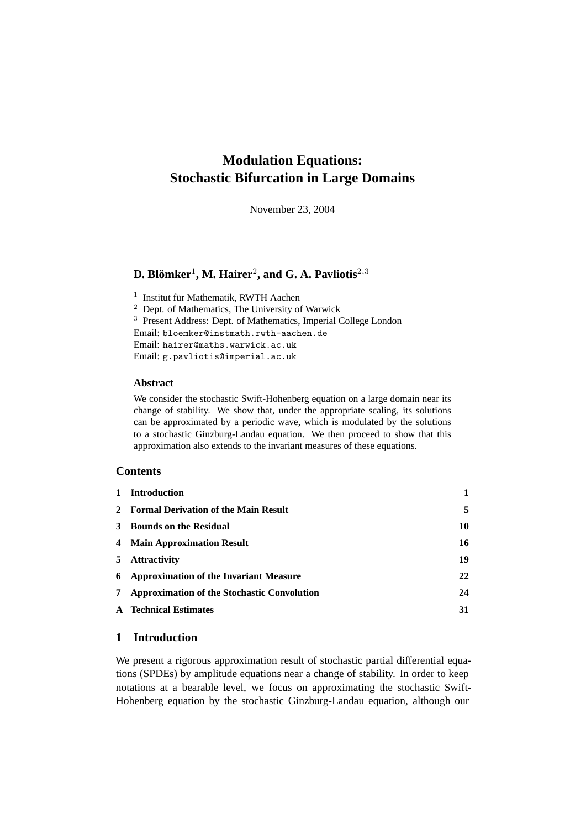# **Modulation Equations: Stochastic Bifurcation in Large Domains**

November 23, 2004

## **D.** Blömker<sup>1</sup>, M. Hairer<sup>2</sup>, and G. A. Pavliotis<sup>2,3</sup>

<sup>1</sup> Institut für Mathematik, RWTH Aachen <sup>2</sup> Dept. of Mathematics, The University of Warwick <sup>3</sup> Present Address: Dept. of Mathematics, Imperial College London Email: bloemker@instmath.rwth-aachen.de Email: hairer@maths.warwick.ac.uk Email: g.pavliotis@imperial.ac.uk

## **Abstract**

We consider the stochastic Swift-Hohenberg equation on a large domain near its change of stability. We show that, under the appropriate scaling, its solutions can be approximated by a periodic wave, which is modulated by the solutions to a stochastic Ginzburg-Landau equation. We then proceed to show that this approximation also extends to the invariant measures of these equations.

## **Contents**

| 1 Introduction                                  |    |
|-------------------------------------------------|----|
| 2 Formal Derivation of the Main Result          | 5  |
| 3 Bounds on the Residual                        | 10 |
| 4 Main Approximation Result                     | 16 |
| 5 Attractivity                                  | 19 |
| <b>6</b> Approximation of the Invariant Measure | 22 |
| 7 Approximation of the Stochastic Convolution   | 24 |
| <b>A</b> Technical Estimates                    | 31 |

## **1 Introduction**

We present a rigorous approximation result of stochastic partial differential equations (SPDEs) by amplitude equations near a change of stability. In order to keep notations at a bearable level, we focus on approximating the stochastic Swift-Hohenberg equation by the stochastic Ginzburg-Landau equation, although our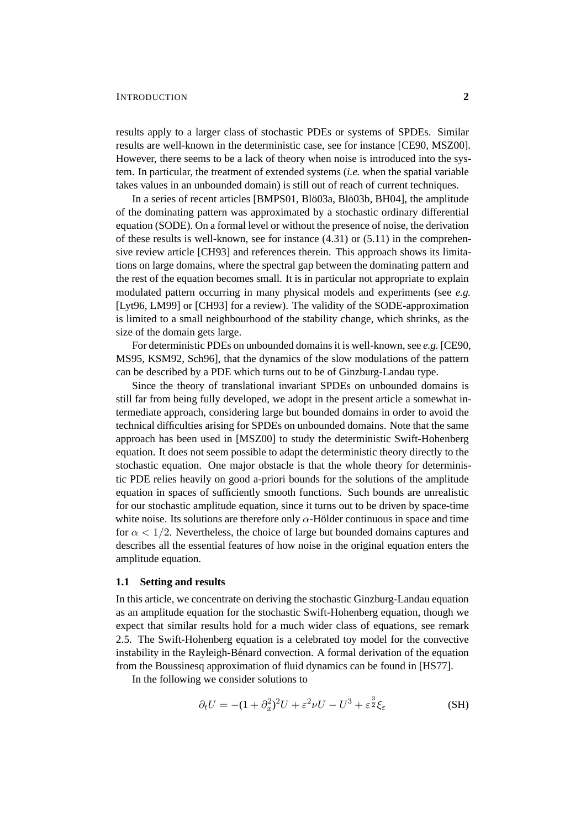#### INTRODUCTION **2**

results apply to a larger class of stochastic PDEs or systems of SPDEs. Similar results are well-known in the deterministic case, see for instance [CE90, MSZ00]. However, there seems to be a lack of theory when noise is introduced into the system. In particular, the treatment of extended systems (*i.e.* when the spatial variable takes values in an unbounded domain) is still out of reach of current techniques.

In a series of recent articles [BMPS01, Blö03a, Blö03b, BH04], the amplitude of the dominating pattern was approximated by a stochastic ordinary differential equation (SODE). On a formal level or without the presence of noise, the derivation of these results is well-known, see for instance (4.31) or (5.11) in the comprehensive review article [CH93] and references therein. This approach shows its limitations on large domains, where the spectral gap between the dominating pattern and the rest of the equation becomes small. It is in particular not appropriate to explain modulated pattern occurring in many physical models and experiments (see *e.g.* [Lyt96, LM99] or [CH93] for a review). The validity of the SODE-approximation is limited to a small neighbourhood of the stability change, which shrinks, as the size of the domain gets large.

For deterministic PDEs on unbounded domains it is well-known, see *e.g.* [CE90, MS95, KSM92, Sch96], that the dynamics of the slow modulations of the pattern can be described by a PDE which turns out to be of Ginzburg-Landau type.

Since the theory of translational invariant SPDEs on unbounded domains is still far from being fully developed, we adopt in the present article a somewhat intermediate approach, considering large but bounded domains in order to avoid the technical difficulties arising for SPDEs on unbounded domains. Note that the same approach has been used in [MSZ00] to study the deterministic Swift-Hohenberg equation. It does not seem possible to adapt the deterministic theory directly to the stochastic equation. One major obstacle is that the whole theory for deterministic PDE relies heavily on good a-priori bounds for the solutions of the amplitude equation in spaces of sufficiently smooth functions. Such bounds are unrealistic for our stochastic amplitude equation, since it turns out to be driven by space-time white noise. Its solutions are therefore only  $\alpha$ -Hölder continuous in space and time for  $\alpha < 1/2$ . Nevertheless, the choice of large but bounded domains captures and describes all the essential features of how noise in the original equation enters the amplitude equation.

#### **1.1 Setting and results**

In this article, we concentrate on deriving the stochastic Ginzburg-Landau equation as an amplitude equation for the stochastic Swift-Hohenberg equation, though we expect that similar results hold for a much wider class of equations, see remark 2.5. The Swift-Hohenberg equation is a celebrated toy model for the convective instability in the Rayleigh-Bénard convection. A formal derivation of the equation from the Boussinesq approximation of fluid dynamics can be found in [HS77].

In the following we consider solutions to

$$
\partial_t U = -(1 + \partial_x^2)^2 U + \varepsilon^2 \nu U - U^3 + \varepsilon^{\frac{3}{2}} \xi_{\varepsilon}
$$
 (SH)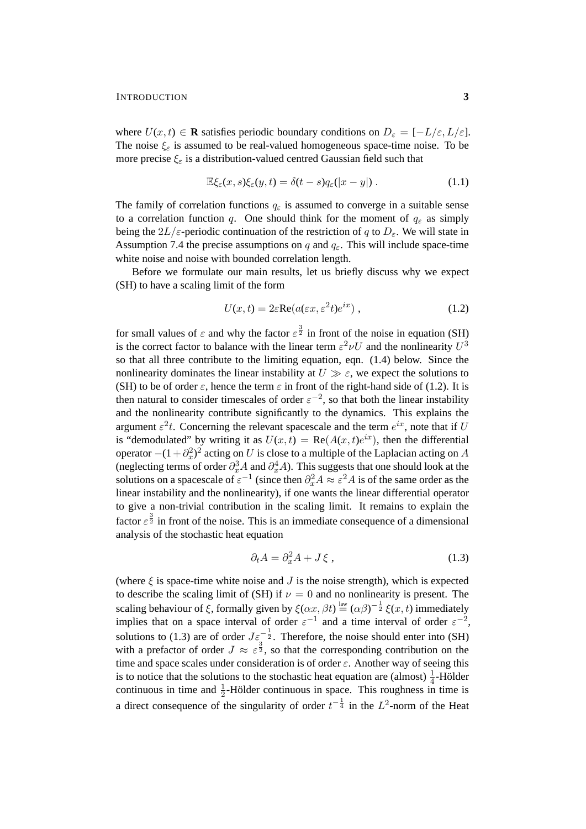where  $U(x, t) \in \mathbf{R}$  satisfies periodic boundary conditions on  $D_{\varepsilon} = [-L/\varepsilon, L/\varepsilon]$ . The noise  $\xi_{\varepsilon}$  is assumed to be real-valued homogeneous space-time noise. To be more precise  $\xi_{\varepsilon}$  is a distribution-valued centred Gaussian field such that

$$
\mathbb{E}\xi_{\varepsilon}(x,s)\xi_{\varepsilon}(y,t)=\delta(t-s)q_{\varepsilon}(|x-y|)\,. \tag{1.1}
$$

The family of correlation functions  $q_{\varepsilon}$  is assumed to converge in a suitable sense to a correlation function q. One should think for the moment of  $q_{\varepsilon}$  as simply being the  $2L/\varepsilon$ -periodic continuation of the restriction of q to  $D_{\varepsilon}$ . We will state in Assumption 7.4 the precise assumptions on q and  $q_{\epsilon}$ . This will include space-time white noise and noise with bounded correlation length.

Before we formulate our main results, let us briefly discuss why we expect (SH) to have a scaling limit of the form

$$
U(x,t) = 2\varepsilon \text{Re}(a(\varepsilon x, \varepsilon^2 t)e^{ix}), \qquad (1.2)
$$

for small values of  $\varepsilon$  and why the factor  $\varepsilon^{\frac{3}{2}}$  in front of the noise in equation (SH) is the correct factor to balance with the linear term  $\varepsilon^2 \nu U$  and the nonlinearity  $U^3$ so that all three contribute to the limiting equation, eqn. (1.4) below. Since the nonlinearity dominates the linear instability at  $U \gg \varepsilon$ , we expect the solutions to (SH) to be of order  $\varepsilon$ , hence the term  $\varepsilon$  in front of the right-hand side of (1.2). It is then natural to consider timescales of order  $\varepsilon^{-2}$ , so that both the linear instability and the nonlinearity contribute significantly to the dynamics. This explains the argument  $\varepsilon^2 t$ . Concerning the relevant spacescale and the term  $e^{ix}$ , note that if U is "demodulated" by writing it as  $U(x,t) = \text{Re}(A(x,t)e^{ix})$ , then the differential operator  $-(1 + \partial_x^2)^2$  acting on U is close to a multiple of the Laplacian acting on A (neglecting terms of order  $\partial_x^3 A$  and  $\partial_x^4 A$ ). This suggests that one should look at the solutions on a spacescale of  $\varepsilon^{-1}$  (since then  $\partial_x^2 A \approx \varepsilon^2 A$  is of the same order as the linear instability and the nonlinearity), if one wants the linear differential operator to give a non-trivial contribution in the scaling limit. It remains to explain the factor  $\epsilon^{\frac{3}{2}}$  in front of the noise. This is an immediate consequence of a dimensional analysis of the stochastic heat equation

$$
\partial_t A = \partial_x^2 A + J \xi \,, \tag{1.3}
$$

(where  $\xi$  is space-time white noise and  $J$  is the noise strength), which is expected to describe the scaling limit of (SH) if  $\nu = 0$  and no nonlinearity is present. The scaling behaviour of  $\xi$ , formally given by  $\xi(\alpha x, \beta t) \stackrel{\text{law}}{=} (\alpha \beta)^{-\frac{1}{2}} \xi(x, t)$  immediately implies that on a space interval of order  $\varepsilon^{-1}$  and a time interval of order  $\varepsilon^{-2}$ , solutions to (1.3) are of order  $J\varepsilon^{-\frac{1}{2}}$ . Therefore, the noise should enter into (SH) with a prefactor of order  $J \approx \varepsilon^{\frac{3}{2}}$ , so that the corresponding contribution on the time and space scales under consideration is of order  $\varepsilon$ . Another way of seeing this is to notice that the solutions to the stochastic heat equation are (almost)  $\frac{1}{4}$ -Hölder continuous in time and  $\frac{1}{2}$ -Hölder continuous in space. This roughness in time is a direct consequence of the singularity of order  $t^{-\frac{1}{4}}$  in the  $L^2$ -norm of the Heat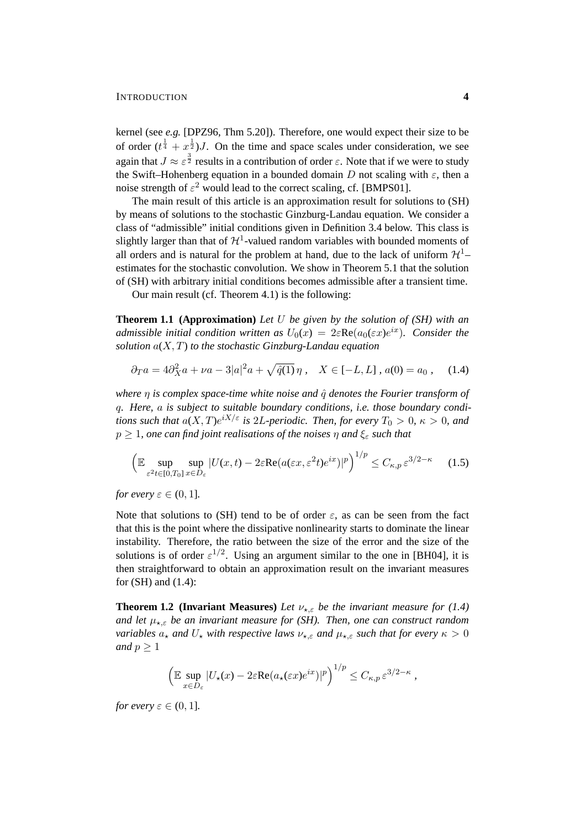kernel (see *e.g.* [DPZ96, Thm 5.20]). Therefore, one would expect their size to be of order  $(t^{\frac{1}{4}} + x^{\frac{1}{2}})$ *J*. On the time and space scales under consideration, we see again that  $J \approx \varepsilon^{\frac{3}{2}}$  results in a contribution of order  $\varepsilon$ . Note that if we were to study the Swift–Hohenberg equation in a bounded domain D not scaling with  $\varepsilon$ , then a noise strength of  $\varepsilon^2$  would lead to the correct scaling, cf. [BMPS01].

The main result of this article is an approximation result for solutions to (SH) by means of solutions to the stochastic Ginzburg-Landau equation. We consider a class of "admissible" initial conditions given in Definition 3.4 below. This class is slightly larger than that of  $\mathcal{H}^1$ -valued random variables with bounded moments of all orders and is natural for the problem at hand, due to the lack of uniform  $\mathcal{H}^1$ estimates for the stochastic convolution. We show in Theorem 5.1 that the solution of (SH) with arbitrary initial conditions becomes admissible after a transient time.

Our main result (cf. Theorem 4.1) is the following:

**Theorem 1.1 (Approximation)** *Let* U *be given by the solution of (SH) with an admissible initial condition written as*  $U_0(x) = 2\varepsilon \text{Re}(a_0(\varepsilon x)e^{ix})$ *. Consider the solution* a(X, T) *to the stochastic Ginzburg-Landau equation*

$$
\partial_T a = 4\partial_X^2 a + \nu a - 3|a|^2 a + \sqrt{\hat{q}(1)}\eta \,, \quad X \in [-L, L] \,, \, a(0) = a_0 \,, \quad (1.4)
$$

*where η is complex space-time white noise and*  $\hat{q}$  *denotes the Fourier transform of* q*. Here,* a *is subject to suitable boundary conditions, i.e. those boundary conditions such that*  $a(X,T)e^{iX/\varepsilon}$  *is* 2L-periodic. Then, for every  $T_0 > 0$ ,  $\kappa > 0$ , and  $p > 1$ , one can find joint realisations of the noises  $\eta$  and  $\xi_{\epsilon}$  such that

$$
\left(\mathbb{E}\sup_{\varepsilon^2 t \in [0,T_0]}\sup_{x \in D_{\varepsilon}} |U(x,t) - 2\varepsilon \text{Re}(a(\varepsilon x, \varepsilon^2 t)e^{ix})|^p\right)^{1/p} \le C_{\kappa,p} \varepsilon^{3/2 - \kappa} \tag{1.5}
$$

*for every*  $\varepsilon \in (0,1]$ *.* 

Note that solutions to (SH) tend to be of order  $\varepsilon$ , as can be seen from the fact that this is the point where the dissipative nonlinearity starts to dominate the linear instability. Therefore, the ratio between the size of the error and the size of the solutions is of order  $\varepsilon^{1/2}$ . Using an argument similar to the one in [BH04], it is then straightforward to obtain an approximation result on the invariant measures for (SH) and (1.4):

**Theorem 1.2 (Invariant Measures)** *Let*  $\nu_{\star,\varepsilon}$  *be the invariant measure for* (1.4) *and let*  $\mu_{\star,\varepsilon}$  *be an invariant measure for (SH). Then, one can construct random variables*  $a_{\star}$  *and*  $U_{\star}$  *with respective laws*  $\nu_{\star,\varepsilon}$  *and*  $\mu_{\star,\varepsilon}$  *such that for every*  $\kappa > 0$ *and*  $p \geq 1$ 

$$
\left(\mathbb{E}\sup_{x\in D_{\varepsilon}}|U_{\star}(x)-2\varepsilon \text{Re}(a_{\star}(\varepsilon x)e^{ix})|^p\right)^{1/p}\leq C_{\kappa,p}\,\varepsilon^{3/2-\kappa}\,,
$$

*for every*  $\varepsilon \in (0,1]$ *.*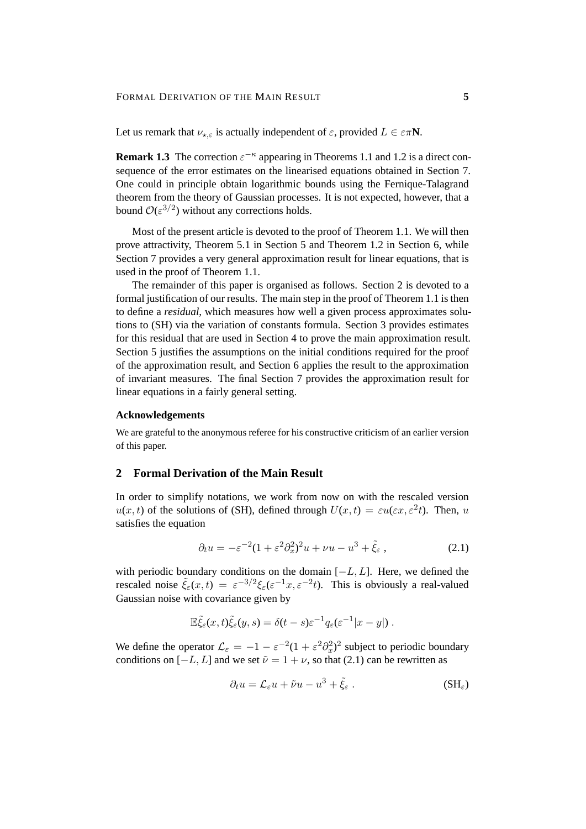#### FORMAL DERIVATION OF THE MAIN RESULT **5**

Let us remark that  $\nu_{\star,\varepsilon}$  is actually independent of  $\varepsilon$ , provided  $L \in \varepsilon \pi N$ .

**Remark 1.3** The correction  $\varepsilon^{-\kappa}$  appearing in Theorems 1.1 and 1.2 is a direct consequence of the error estimates on the linearised equations obtained in Section 7. One could in principle obtain logarithmic bounds using the Fernique-Talagrand theorem from the theory of Gaussian processes. It is not expected, however, that a bound  $\mathcal{O}(\varepsilon^{3/2})$  without any corrections holds.

Most of the present article is devoted to the proof of Theorem 1.1. We will then prove attractivity, Theorem 5.1 in Section 5 and Theorem 1.2 in Section 6, while Section 7 provides a very general approximation result for linear equations, that is used in the proof of Theorem 1.1.

The remainder of this paper is organised as follows. Section 2 is devoted to a formal justification of our results. The main step in the proof of Theorem 1.1 is then to define a *residual*, which measures how well a given process approximates solutions to (SH) via the variation of constants formula. Section 3 provides estimates for this residual that are used in Section 4 to prove the main approximation result. Section 5 justifies the assumptions on the initial conditions required for the proof of the approximation result, and Section 6 applies the result to the approximation of invariant measures. The final Section 7 provides the approximation result for linear equations in a fairly general setting.

### **Acknowledgements**

We are grateful to the anonymous referee for his constructive criticism of an earlier version of this paper.

## **2 Formal Derivation of the Main Result**

In order to simplify notations, we work from now on with the rescaled version  $u(x, t)$  of the solutions of (SH), defined through  $U(x, t) = \varepsilon u(\varepsilon x, \varepsilon^2 t)$ . Then, u satisfies the equation

$$
\partial_t u = -\varepsilon^{-2} (1 + \varepsilon^2 \partial_x^2)^2 u + \nu u - u^3 + \tilde{\xi}_{\varepsilon} \,, \tag{2.1}
$$

with periodic boundary conditions on the domain  $[-L, L]$ . Here, we defined the rescaled noise  $\tilde{\xi}_{\varepsilon}(x,t) = \varepsilon^{-3/2} \xi_{\varepsilon}(\varepsilon^{-1}x, \varepsilon^{-2}t)$ . This is obviously a real-valued Gaussian noise with covariance given by

$$
\mathbb{E}\tilde{\xi}_{\varepsilon}(x,t)\tilde{\xi}_{\varepsilon}(y,s)=\delta(t-s)\varepsilon^{-1}q_{\varepsilon}(\varepsilon^{-1}|x-y|).
$$

We define the operator  $\mathcal{L}_{\varepsilon} = -1 - \varepsilon^{-2} (1 + \varepsilon^2 \partial_x^2)^2$  subject to periodic boundary conditions on  $[-L, L]$  and we set  $\tilde{\nu} = 1 + \nu$ , so that (2.1) can be rewritten as

$$
\partial_t u = \mathcal{L}_{\varepsilon} u + \tilde{\nu} u - u^3 + \tilde{\xi}_{\varepsilon} . \tag{SH\varepsilon}
$$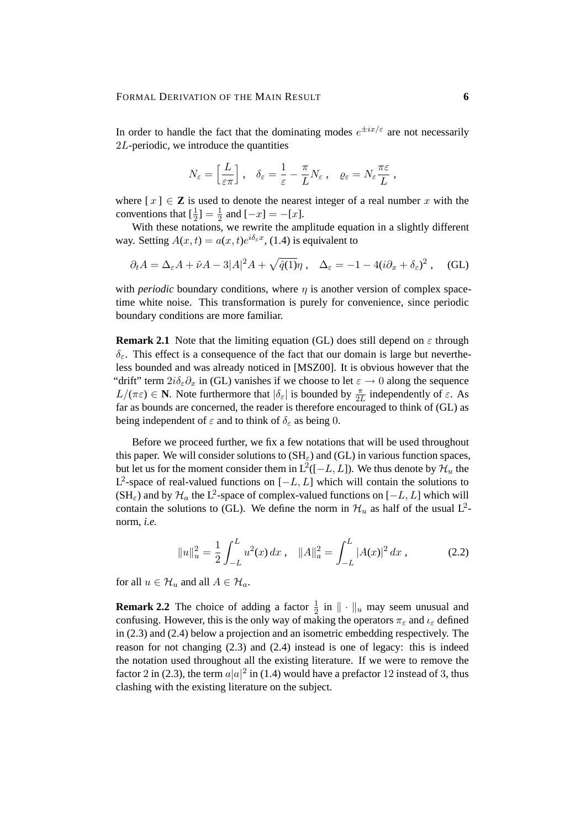In order to handle the fact that the dominating modes  $e^{\pm ix/\varepsilon}$  are not necessarily  $2L$ -periodic, we introduce the quantities

$$
N_{\varepsilon} = \left[\frac{L}{\varepsilon \pi}\right], \quad \delta_{\varepsilon} = \frac{1}{\varepsilon} - \frac{\pi}{L} N_{\varepsilon} , \quad \varrho_{\varepsilon} = N_{\varepsilon} \frac{\pi \varepsilon}{L} ,
$$

where  $[x] \in \mathbb{Z}$  is used to denote the nearest integer of a real number x with the conventions that  $\left[\frac{1}{2}\right] = \frac{1}{2}$  $\frac{1}{2}$  and  $[-x] = -[x]$ .

With these notations, we rewrite the amplitude equation in a slightly different way. Setting  $A(x,t) = a(x,t)e^{i\delta_{\varepsilon}x}$ , (1.4) is equivalent to

$$
\partial_t A = \Delta_{\varepsilon} A + \tilde{\nu} A - 3|A|^2 A + \sqrt{\hat{q}(1)}\eta \,, \quad \Delta_{\varepsilon} = -1 - 4(i\partial_x + \delta_{\varepsilon})^2 \,, \quad \text{(GL)}
$$

with *periodic* boundary conditions, where  $\eta$  is another version of complex spacetime white noise. This transformation is purely for convenience, since periodic boundary conditions are more familiar.

**Remark 2.1** Note that the limiting equation (GL) does still depend on  $\varepsilon$  through  $\delta_{\varepsilon}$ . This effect is a consequence of the fact that our domain is large but nevertheless bounded and was already noticed in [MSZ00]. It is obvious however that the "drift" term  $2i\delta_{\varepsilon}\partial_x$  in (GL) vanishes if we choose to let  $\varepsilon \to 0$  along the sequence  $L/(\pi \varepsilon) \in \mathbb{N}$ . Note furthermore that  $|\delta_{\varepsilon}|$  is bounded by  $\frac{\pi}{2L}$  independently of  $\varepsilon$ . As far as bounds are concerned, the reader is therefore encouraged to think of (GL) as being independent of  $\varepsilon$  and to think of  $\delta_{\varepsilon}$  as being 0.

Before we proceed further, we fix a few notations that will be used throughout this paper. We will consider solutions to  $(SH_{\varepsilon})$  and  $(GL)$  in various function spaces, but let us for the moment consider them in  $L^2([-L, L])$ . We thus denote by  $\mathcal{H}_u$  the L<sup>2</sup>-space of real-valued functions on  $[-L, L]$  which will contain the solutions to (SH<sub> $\varepsilon$ </sub>) and by  $\mathcal{H}_a$  the L<sup>2</sup>-space of complex-valued functions on [ $-L, L$ ] which will contain the solutions to (GL). We define the norm in  $\mathcal{H}_u$  as half of the usual  $L^2$ norm, *i.e.*

$$
||u||_u^2 = \frac{1}{2} \int_{-L}^{L} u^2(x) dx , \quad ||A||_a^2 = \int_{-L}^{L} |A(x)|^2 dx , \qquad (2.2)
$$

for all  $u \in \mathcal{H}_u$  and all  $A \in \mathcal{H}_a$ .

**Remark 2.2** The choice of adding a factor  $\frac{1}{2}$  in  $\|\cdot\|_u$  may seem unusual and confusing. However, this is the only way of making the operators  $\pi_{\varepsilon}$  and  $\iota_{\varepsilon}$  defined in (2.3) and (2.4) below a projection and an isometric embedding respectively. The reason for not changing (2.3) and (2.4) instead is one of legacy: this is indeed the notation used throughout all the existing literature. If we were to remove the factor 2 in (2.3), the term  $a|a|^2$  in (1.4) would have a prefactor 12 instead of 3, thus clashing with the existing literature on the subject.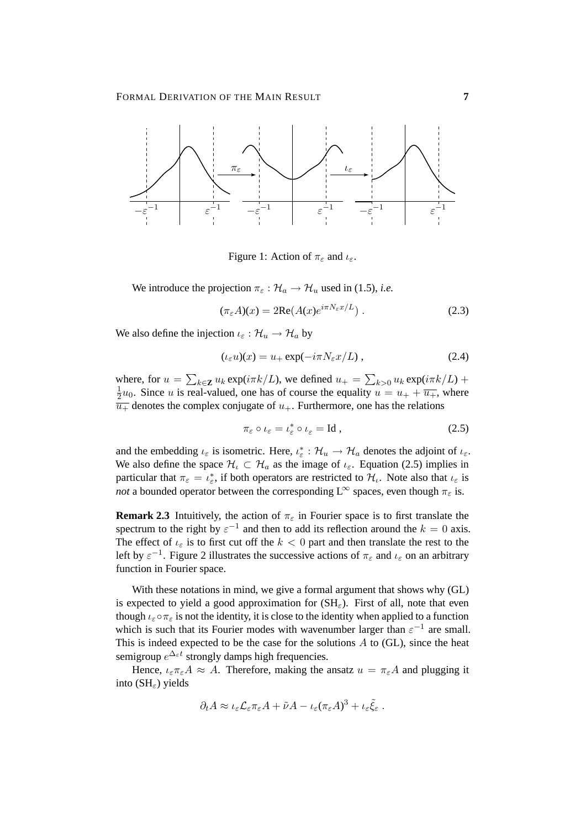

Figure 1: Action of  $\pi_{\varepsilon}$  and  $\iota_{\varepsilon}$ .

We introduce the projection  $\pi_{\varepsilon} : \mathcal{H}_a \to \mathcal{H}_u$  used in (1.5), *i.e.* 

 $(\pi_{\varepsilon}A)(x) = 2\text{Re}(A(x)e^{i\pi N_{\varepsilon}x/L})$ . (2.3)

We also define the injection  $\iota_{\varepsilon} : \mathcal{H}_u \to \mathcal{H}_a$  by

$$
(\iota_{\varepsilon} u)(x) = u_{+} \exp(-i\pi N_{\varepsilon} x/L) , \qquad (2.4)
$$

where, for  $u = \sum_{k \in \mathbf{Z}} u_k \exp(i \pi k/L)$ , we defined  $u_+ = \sum_{k>0} u_k \exp(i \pi k/L)$  + 1  $\frac{1}{2}u_0$ . Since *u* is real-valued, one has of course the equality  $u = u_+ + \overline{u_+}$ , where  $\overline{u_{+}}$  denotes the complex conjugate of  $u_{+}$ . Furthermore, one has the relations

$$
\pi_{\varepsilon} \circ \iota_{\varepsilon} = \iota_{\varepsilon}^* \circ \iota_{\varepsilon} = \text{Id} , \qquad (2.5)
$$

and the embedding  $\iota_{\varepsilon}$  is isometric. Here,  $\iota_{\varepsilon}^* : \mathcal{H}_u \to \mathcal{H}_a$  denotes the adjoint of  $\iota_{\varepsilon}$ . We also define the space  $\mathcal{H}_\iota \subset \mathcal{H}_a$  as the image of  $\iota_{\varepsilon}$ . Equation (2.5) implies in particular that  $\pi_{\varepsilon} = \iota_{\varepsilon}^*$ , if both operators are restricted to  $\mathcal{H}_{\iota}$ . Note also that  $\iota_{\varepsilon}$  is *not* a bounded operator between the corresponding  $L^{\infty}$  spaces, even though  $\pi_{\varepsilon}$  is.

**Remark 2.3** Intuitively, the action of  $\pi_{\varepsilon}$  in Fourier space is to first translate the spectrum to the right by  $\varepsilon^{-1}$  and then to add its reflection around the  $k = 0$  axis. The effect of  $\iota_{\varepsilon}$  is to first cut off the  $k < 0$  part and then translate the rest to the left by  $\varepsilon^{-1}$ . Figure 2 illustrates the successive actions of  $\pi_{\varepsilon}$  and  $\iota_{\varepsilon}$  on an arbitrary function in Fourier space.

With these notations in mind, we give a formal argument that shows why (GL) is expected to yield a good approximation for  $(SH_{\varepsilon})$ . First of all, note that even though  $\iota_{\varepsilon} \circ \pi_{\varepsilon}$  is not the identity, it is close to the identity when applied to a function which is such that its Fourier modes with wavenumber larger than  $\varepsilon^{-1}$  are small. This is indeed expected to be the case for the solutions  $A$  to (GL), since the heat semigroup  $e^{\Delta_{\varepsilon}t}$  strongly damps high frequencies.

Hence,  $\iota_{\varepsilon} \pi_{\varepsilon} A \approx A$ . Therefore, making the ansatz  $u = \pi_{\varepsilon} A$  and plugging it into ( $SH_{\varepsilon}$ ) yields

$$
\partial_t A \approx \iota_\varepsilon \mathcal{L}_\varepsilon \pi_\varepsilon A + \tilde{\nu} A - \iota_\varepsilon (\pi_\varepsilon A)^3 + \iota_\varepsilon \tilde{\xi}_\varepsilon.
$$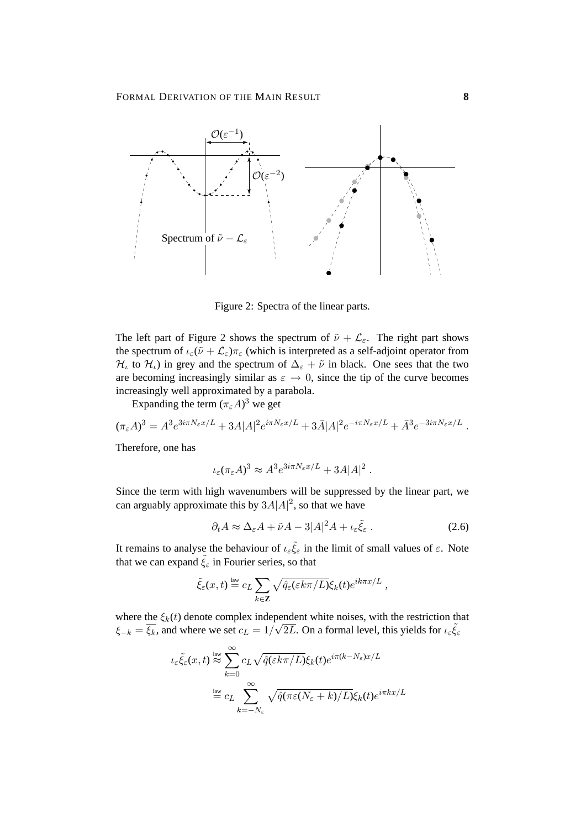

Figure 2: Spectra of the linear parts.

The left part of Figure 2 shows the spectrum of  $\tilde{\nu} + \mathcal{L}_{\varepsilon}$ . The right part shows the spectrum of  $\iota_{\varepsilon}(\tilde{\nu} + \mathcal{L}_{\varepsilon})\pi_{\varepsilon}$  (which is interpreted as a self-adjoint operator from  $\mathcal{H}_t$  to  $\mathcal{H}_t$ ) in grey and the spectrum of  $\Delta_{\varepsilon} + \tilde{\nu}$  in black. One sees that the two are becoming increasingly similar as  $\varepsilon \to 0$ , since the tip of the curve becomes increasingly well approximated by a parabola.

Expanding the term  $(\pi_{\varepsilon}A)^3$  we get

$$
(\pi_{\varepsilon}A)^3 = A^3 e^{3i\pi N_{\varepsilon}x/L} + 3A|A|^2 e^{i\pi N_{\varepsilon}x/L} + 3\bar{A}|A|^2 e^{-i\pi N_{\varepsilon}x/L} + \bar{A}^3 e^{-3i\pi N_{\varepsilon}x/L}.
$$

Therefore, one has

$$
\iota_{\varepsilon}(\pi_{\varepsilon}A)^3 \approx A^3 e^{3i\pi N_{\varepsilon}x/L} + 3A|A|^2.
$$

Since the term with high wavenumbers will be suppressed by the linear part, we can arguably approximate this by  $3A|A|^2$ , so that we have

$$
\partial_t A \approx \Delta_{\varepsilon} A + \tilde{\nu} A - 3|A|^2 A + \iota_{\varepsilon} \tilde{\xi}_{\varepsilon} \,. \tag{2.6}
$$

It remains to analyse the behaviour of  $\iota_{\varepsilon} \tilde{\xi}_{\varepsilon}$  in the limit of small values of  $\varepsilon$ . Note that we can expand  $\tilde{\xi}_{\varepsilon}$  in Fourier series, so that

$$
\tilde{\xi}_{\varepsilon}(x,t) \stackrel{\text{law}}{=} c_L \sum_{k \in \mathbf{Z}} \sqrt{\hat{q}_{\varepsilon}(\varepsilon k \pi/L)} \xi_k(t) e^{ik\pi x/L} ,
$$

where the  $\xi_k(t)$  denote complex independent white noises, with the restriction that  $\xi_{-k} = \overline{\xi_k}$ , and where we set  $c_L = 1/\sqrt{2L}$ . On a formal level, this yields for  $\iota_{\varepsilon} \tilde{\xi}_{\varepsilon}$ 

$$
\iota_{\varepsilon} \tilde{\xi}_{\varepsilon}(x,t) \stackrel{\text{law}}{\approx} \sum_{k=0}^{\infty} c_L \sqrt{\hat{q}(\varepsilon k\pi/L)} \xi_k(t) e^{i\pi(k-N_{\varepsilon})x/L}
$$

$$
\stackrel{\text{law}}{=} c_L \sum_{k=-N_{\varepsilon}}^{\infty} \sqrt{\hat{q}(\pi \varepsilon (N_{\varepsilon}+k)/L)} \xi_k(t) e^{i\pi kx/L}
$$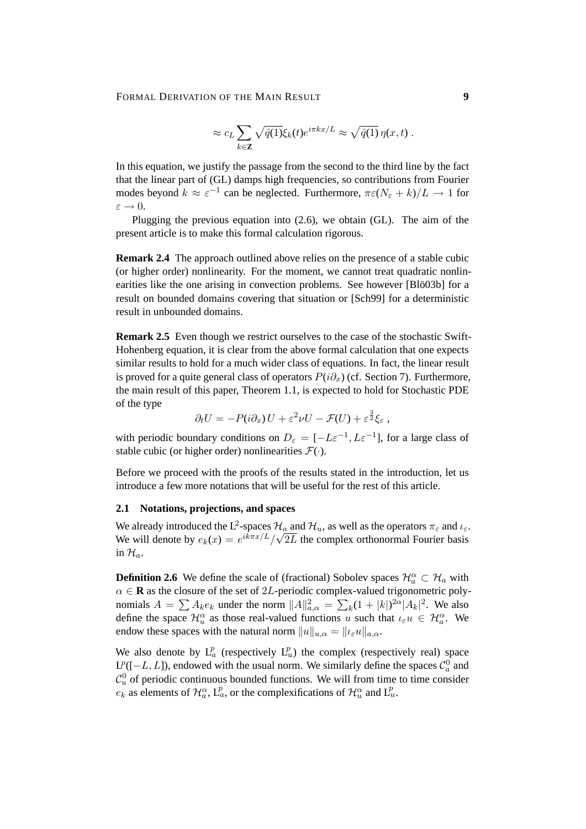#### FORMAL DERIVATION OF THE MAIN RESULT **9**

$$
\approx c_L \sum_{k \in \mathbf{Z}} \sqrt{\hat{q}(1)} \xi_k(t) e^{i\pi kx/L} \approx \sqrt{\hat{q}(1)} \eta(x, t) .
$$

In this equation, we justify the passage from the second to the third line by the fact that the linear part of (GL) damps high frequencies, so contributions from Fourier modes beyond  $k \approx \varepsilon^{-1}$  can be neglected. Furthermore,  $\pi \varepsilon (N_{\varepsilon} + k)/L \to 1$  for  $\varepsilon \to 0.$ 

Plugging the previous equation into (2.6), we obtain (GL). The aim of the present article is to make this formal calculation rigorous.

**Remark 2.4** The approach outlined above relies on the presence of a stable cubic (or higher order) nonlinearity. For the moment, we cannot treat quadratic nonlinearities like the one arising in convection problems. See however [Blö03b] for a result on bounded domains covering that situation or [Sch99] for a deterministic result in unbounded domains.

**Remark 2.5** Even though we restrict ourselves to the case of the stochastic Swift-Hohenberg equation, it is clear from the above formal calculation that one expects similar results to hold for a much wider class of equations. In fact, the linear result is proved for a quite general class of operators  $P(i\partial_x)$  (cf. Section 7). Furthermore, the main result of this paper, Theorem 1.1, is expected to hold for Stochastic PDE of the type

$$
\partial_t U = -P(i\partial_x) U + \varepsilon^2 \nu U - \mathcal{F}(U) + \varepsilon^{\frac{3}{2}} \xi_{\varepsilon} ,
$$

with periodic boundary conditions on  $D_{\varepsilon} = [-L\varepsilon^{-1}, L\varepsilon^{-1}]$ , for a large class of stable cubic (or higher order) nonlinearities  $\mathcal{F}(\cdot)$ .

Before we proceed with the proofs of the results stated in the introduction, let us introduce a few more notations that will be useful for the rest of this article.

#### **2.1 Notations, projections, and spaces**

We already introduced the L<sup>2</sup>-spaces  $\mathcal{H}_a$  and  $\mathcal{H}_u$ , as well as the operators  $\pi_{\varepsilon}$  and  $\iota_{\varepsilon}$ . We will denote by  $e_k(x) = e^{ik\pi x/L}/\sqrt{2L}$  the complex orthonormal Fourier basis in  $\mathcal{H}_a$ .

**Definition 2.6** We define the scale of (fractional) Sobolev spaces  $\mathcal{H}_a^{\alpha} \subset \mathcal{H}_a$  with  $\alpha \in \mathbf{R}$  as the closure of the set of 2L-periodic complex-valued trigonometric polynomials  $A = \sum A_k e_k$  under the norm  $||A||_{a,\alpha}^2 = \sum_k (1 + |k|)^{2\alpha} |A_k|^2$ . We also define the space  $\mathcal{H}_u^{\alpha}$  as those real-valued functions u such that  $\iota_{\varepsilon}u \in \mathcal{H}_a^{\alpha}$ . We endow these spaces with the natural norm  $||u||_{u,\alpha} = ||u_{\varepsilon}u||_{a,\alpha}$ .

We also denote by  $L_a^p$  (respectively  $L_u^p$ ) the complex (respectively real) space  $L^p([-L, L])$ , endowed with the usual norm. We similarly define the spaces  $\mathcal{C}_a^0$  and  $C_u^0$  of periodic continuous bounded functions. We will from time to time consider  $e_k$  as elements of  $\mathcal{H}_{a}^{\alpha}$ ,  $L_a^p$ , or the complexifications of  $\mathcal{H}_{u}^{\alpha}$  and  $L_u^p$ .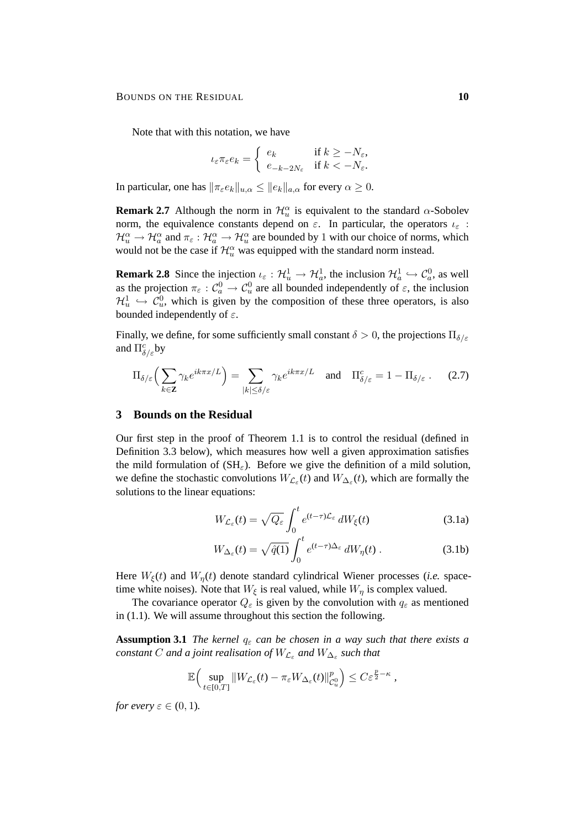Note that with this notation, we have

$$
\iota_{\varepsilon}\pi_{\varepsilon}e_k = \begin{cases} e_k & \text{if } k \ge -N_{\varepsilon}, \\ e_{-k-2N_{\varepsilon}} & \text{if } k < -N_{\varepsilon}. \end{cases}
$$

In particular, one has  $\|\pi_{\varepsilon}e_k\|_{u,\alpha} \leq \|e_k\|_{a,\alpha}$  for every  $\alpha \geq 0$ .

**Remark 2.7** Although the norm in  $\mathcal{H}_u^{\alpha}$  is equivalent to the standard  $\alpha$ -Sobolev norm, the equivalence constants depend on  $\varepsilon$ . In particular, the operators  $\iota_{\varepsilon}$ :  $\mathcal{H}_{u}^{\alpha} \to \mathcal{H}_{a}^{\alpha}$  and  $\pi_{\varepsilon} : \mathcal{H}_{a}^{\alpha} \to \mathcal{H}_{u}^{\alpha}$  are bounded by 1 with our choice of norms, which would not be the case if  $\mathcal{H}_{u}^{\alpha}$  was equipped with the standard norm instead.

**Remark 2.8** Since the injection  $\iota_{\varepsilon} : \mathcal{H}_u^1 \to \mathcal{H}_a^1$ , the inclusion  $\mathcal{H}_a^1 \hookrightarrow \mathcal{C}_a^0$ , as well as the projection  $\pi_{\varepsilon}: \mathcal{C}_a^0 \to \mathcal{C}_u^0$  are all bounded independently of  $\varepsilon$ , the inclusion  $\mathcal{H}^1_u \hookrightarrow \mathcal{C}^0_u$ , which is given by the composition of these three operators, is also bounded independently of  $\varepsilon$ .

Finally, we define, for some sufficiently small constant  $\delta > 0$ , the projections  $\Pi_{\delta/\varepsilon}$ and  $\Pi_{\delta/\varepsilon}^c$ by

$$
\Pi_{\delta/\varepsilon} \Big( \sum_{k \in \mathbf{Z}} \gamma_k e^{ik\pi x/L} \Big) = \sum_{|k| \le \delta/\varepsilon} \gamma_k e^{ik\pi x/L} \quad \text{and} \quad \Pi_{\delta/\varepsilon}^c = 1 - \Pi_{\delta/\varepsilon} \ . \tag{2.7}
$$

### **3 Bounds on the Residual**

Our first step in the proof of Theorem 1.1 is to control the residual (defined in Definition 3.3 below), which measures how well a given approximation satisfies the mild formulation of  $(SH_{\varepsilon})$ . Before we give the definition of a mild solution, we define the stochastic convolutions  $W_{\mathcal{L}_{\varepsilon}}(t)$  and  $W_{\Delta_{\varepsilon}}(t)$ , which are formally the solutions to the linear equations:

$$
W_{\mathcal{L}_{\varepsilon}}(t) = \sqrt{Q_{\varepsilon}} \int_0^t e^{(t-\tau)\mathcal{L}_{\varepsilon}} dW_{\xi}(t)
$$
 (3.1a)

$$
W_{\Delta_{\varepsilon}}(t) = \sqrt{\hat{q}(1)} \int_0^t e^{(t-\tau)\Delta_{\varepsilon}} dW_{\eta}(t) . \tag{3.1b}
$$

Here  $W_{\xi}(t)$  and  $W_n(t)$  denote standard cylindrical Wiener processes (*i.e.* spacetime white noises). Note that  $W_{\xi}$  is real valued, while  $W_{\eta}$  is complex valued.

The covariance operator  $Q_{\varepsilon}$  is given by the convolution with  $q_{\varepsilon}$  as mentioned in (1.1). We will assume throughout this section the following.

**Assumption 3.1** *The kernel*  $q_{\varepsilon}$  *can be chosen in a way such that there exists a*  $\emph{constant}$  C and a joint realisation of  $W_{\mathcal{L}_\varepsilon}$  and  $W_{\Delta_\varepsilon}$  such that

$$
\mathbb{E}\Big(\sup_{t\in[0,T]}\|W_{\mathcal{L}_{\varepsilon}}(t)-\pi_{\varepsilon}W_{\Delta_{\varepsilon}}(t)\|_{\mathcal{C}_{u}^{0}}^{p}\Big)\leq C\varepsilon^{\frac{p}{2}-\kappa}\,,
$$

*for every*  $\varepsilon \in (0, 1)$ *.*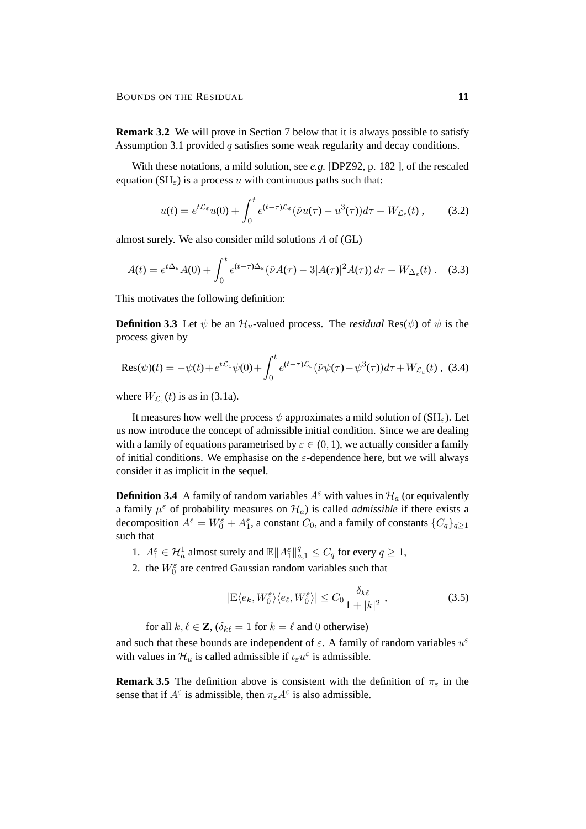**Remark 3.2** We will prove in Section 7 below that it is always possible to satisfy Assumption 3.1 provided  $q$  satisfies some weak regularity and decay conditions.

With these notations, a mild solution, see *e.g.* [DPZ92, p. 182 ], of the rescaled equation ( $SH_{\epsilon}$ ) is a process u with continuous paths such that:

$$
u(t) = e^{t\mathcal{L}_{\varepsilon}}u(0) + \int_0^t e^{(t-\tau)\mathcal{L}_{\varepsilon}}(\tilde{\nu}u(\tau) - u^3(\tau))d\tau + W_{\mathcal{L}_{\varepsilon}}(t), \qquad (3.2)
$$

almost surely. We also consider mild solutions A of (GL)

$$
A(t) = e^{t\Delta_{\varepsilon}} A(0) + \int_0^t e^{(t-\tau)\Delta_{\varepsilon}} (\tilde{\nu}A(\tau) - 3|A(\tau)|^2 A(\tau)) d\tau + W_{\Delta_{\varepsilon}}(t). \quad (3.3)
$$

This motivates the following definition:

**Definition 3.3** Let  $\psi$  be an  $\mathcal{H}_u$ -valued process. The *residual* Res( $\psi$ ) of  $\psi$  is the process given by

$$
\text{Res}(\psi)(t) = -\psi(t) + e^{t\mathcal{L}_{\varepsilon}}\psi(0) + \int_0^t e^{(t-\tau)\mathcal{L}_{\varepsilon}} (\tilde{\nu}\psi(\tau) - \psi^3(\tau))d\tau + W_{\mathcal{L}_{\varepsilon}}(t) , \tag{3.4}
$$

where  $W_{\mathcal{L}_{\varepsilon}}(t)$  is as in (3.1a).

It measures how well the process  $\psi$  approximates a mild solution of (SH<sub>ε</sub>). Let us now introduce the concept of admissible initial condition. Since we are dealing with a family of equations parametrised by  $\varepsilon \in (0, 1)$ , we actually consider a family of initial conditions. We emphasise on the  $\varepsilon$ -dependence here, but we will always consider it as implicit in the sequel.

**Definition 3.4** A family of random variables  $A^{\varepsilon}$  with values in  $\mathcal{H}_a$  (or equivalently a family  $\mu^{\epsilon}$  of probability measures on  $\mathcal{H}_{a}$ ) is called *admissible* if there exists a decomposition  $A^{\varepsilon} = W_0^{\varepsilon} + A_1^{\varepsilon}$ , a constant  $C_0$ , and a family of constants  $\{C_q\}_{q \ge 1}$ such that

- 1.  $A_1^{\varepsilon} \in \mathcal{H}_a^1$  almost surely and  $\mathbb{E} ||A_1^{\varepsilon}||_{a,1}^q \leq C_q$  for every  $q \geq 1$ ,
- 2. the  $W_0^{\varepsilon}$  are centred Gaussian random variables such that

$$
|\mathbb{E}\langle e_k, W_0^{\varepsilon}\rangle\langle e_\ell, W_0^{\varepsilon}\rangle| \le C_0 \frac{\delta_{k\ell}}{1+|k|^2},\tag{3.5}
$$

for all  $k, \ell \in \mathbf{Z}$ ,  $(\delta_{k\ell} = 1$  for  $k = \ell$  and 0 otherwise)

and such that these bounds are independent of  $\varepsilon$ . A family of random variables  $u^{\varepsilon}$ with values in  $\mathcal{H}_u$  is called admissible if  $\iota_{\varepsilon} u^{\varepsilon}$  is admissible.

**Remark 3.5** The definition above is consistent with the definition of  $\pi_{\varepsilon}$  in the sense that if  $A^{\varepsilon}$  is admissible, then  $\pi_{\varepsilon}A^{\varepsilon}$  is also admissible.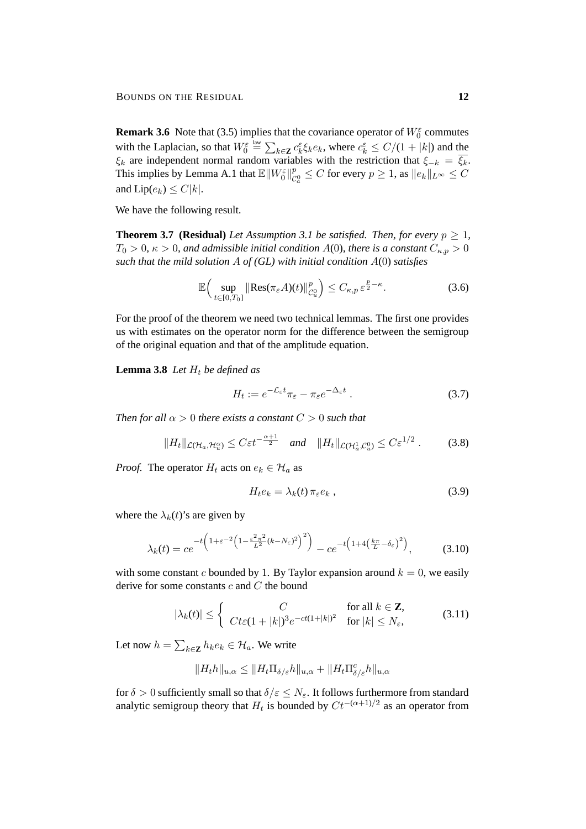**Remark 3.6** Note that (3.5) implies that the covariance operator of  $W_0^{\varepsilon}$  commutes with the Laplacian, so that  $W_0^{\varepsilon} \triangleq \sum_{k \in \mathbf{Z}} c_k^{\varepsilon} \xi_k e_k$ , where  $c_k^{\varepsilon} \leq C/(1+|k|)$  and the  $\xi_k$  are independent normal random variables with the restriction that  $\xi_{-k} = \xi_k$ . This implies by Lemma A.1 that  $\mathbb{E} \left\| W_0^{\varepsilon} \right\|_{\mathcal{C}}^{p}$  $\mathcal{C}^p_\alpha \leq C$  for every  $p \geq 1$ , as  $\|e_k\|_{L^\infty} \leq C$ and  $Lip(e_k) \leq C|k|$ .

We have the following result.

**Theorem 3.7 (Residual)** *Let Assumption 3.1 be satisfied. Then, for every*  $p \geq 1$ *,*  $T_0 > 0$ ,  $\kappa > 0$ , and admissible initial condition  $A(0)$ , there is a constant  $C_{\kappa,p} > 0$ *such that the mild solution* A *of (GL) with initial condition* A(0) *satisfies*

$$
\mathbb{E}\Big(\sup_{t\in[0,T_0]}\big\|\text{Res}(\pi_{\varepsilon}A)(t)\big\|_{\mathcal{C}_u^0}^p\Big)\leq C_{\kappa,p}\,\varepsilon^{\frac{p}{2}-\kappa}.\tag{3.6}
$$

For the proof of the theorem we need two technical lemmas. The first one provides us with estimates on the operator norm for the difference between the semigroup of the original equation and that of the amplitude equation.

**Lemma 3.8** *Let*  $H_t$  *be defined as* 

$$
H_t := e^{-\mathcal{L}_{\varepsilon}t} \pi_{\varepsilon} - \pi_{\varepsilon} e^{-\Delta_{\varepsilon}t} \tag{3.7}
$$

*Then for all*  $\alpha > 0$  *there exists a constant*  $C > 0$  *such that* 

$$
||H_t||_{\mathcal{L}(\mathcal{H}_a,\mathcal{H}_u^{\alpha})} \leq C\varepsilon t^{-\frac{\alpha+1}{2}} \quad \text{and} \quad ||H_t||_{\mathcal{L}(\mathcal{H}_a^1,\mathcal{C}_u^0)} \leq C\varepsilon^{1/2} \ . \tag{3.8}
$$

*Proof.* The operator  $H_t$  acts on  $e_k \in \mathcal{H}_a$  as

$$
H_t e_k = \lambda_k(t) \, \pi_\varepsilon e_k \,, \tag{3.9}
$$

where the  $\lambda_k(t)$ 's are given by

$$
\lambda_k(t) = ce^{-t\left(1+\varepsilon^{-2}\left(1-\frac{\varepsilon^2 \pi^2}{L^2}(k-N_\varepsilon)^2\right)^2\right)} - ce^{-t\left(1+4\left(\frac{k\pi}{L}-\delta_\varepsilon\right)^2\right)},\tag{3.10}
$$

with some constant c bounded by 1. By Taylor expansion around  $k = 0$ , we easily derive for some constants  $c$  and  $C$  the bound

$$
|\lambda_k(t)| \le \begin{cases} C & \text{for all } k \in \mathbb{Z}, \\ Ct\varepsilon(1+|k|)^3 e^{-ct(1+|k|)^2} & \text{for } |k| \le N_{\varepsilon}, \end{cases}
$$
(3.11)

Let now  $h = \sum_{k \in \mathbf{Z}} h_k e_k \in \mathcal{H}_a$ . We write

$$
||H_t h||_{u,\alpha} \leq ||H_t \Pi_{\delta/\varepsilon} h||_{u,\alpha} + ||H_t \Pi_{\delta/\varepsilon}^c h||_{u,\alpha}
$$

for  $\delta > 0$  sufficiently small so that  $\delta/\varepsilon \leq N_{\varepsilon}$ . It follows furthermore from standard analytic semigroup theory that  $H_t$  is bounded by  $C t^{-(\alpha+1)/2}$  as an operator from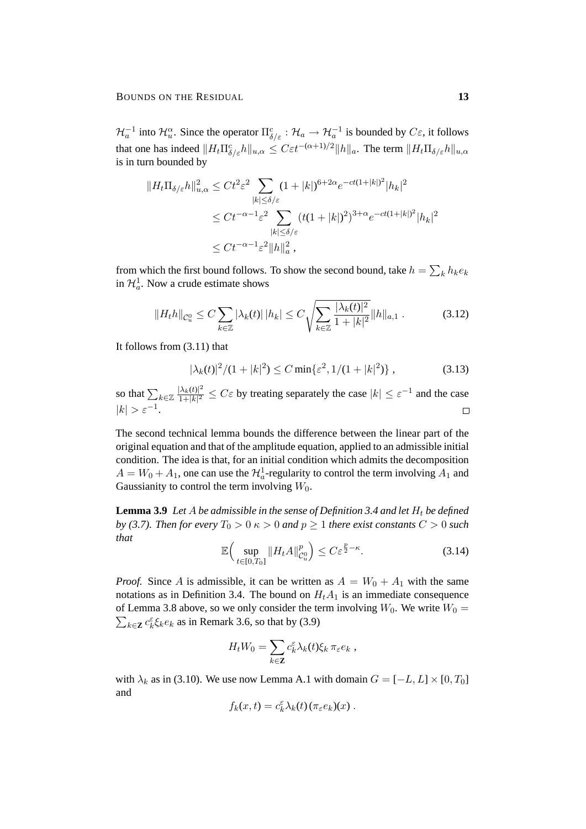$\mathcal{H}_a^{-1}$  into  $\mathcal{H}_u^{\alpha}$ . Since the operator  $\Pi_{\delta/\varepsilon}^c : \mathcal{H}_a \to \mathcal{H}_a^{-1}$  is bounded by  $C\varepsilon$ , it follows that one has indeed  $||H_t \Pi_{\delta/\varepsilon}^c h||_{u,\alpha} \leq C \varepsilon t^{-(\alpha+1)/2} ||h||_a$ . The term  $||H_t \Pi_{\delta/\varepsilon} h||_{u,\alpha}$ is in turn bounded by

$$
||H_t \Pi_{\delta/\varepsilon} h||_{u,\alpha}^2 \le C t^2 \varepsilon^2 \sum_{|k| \le \delta/\varepsilon} (1+|k|)^{6+2\alpha} e^{-ct(1+|k|)^2} |h_k|^2
$$
  

$$
\le C t^{-\alpha-1} \varepsilon^2 \sum_{|k| \le \delta/\varepsilon} (t(1+|k|)^2)^{3+\alpha} e^{-ct(1+|k|)^2} |h_k|^2
$$
  

$$
\le C t^{-\alpha-1} \varepsilon^2 ||h||_a^2,
$$

from which the first bound follows. To show the second bound, take  $h = \sum_{k} h_k e_k$ in  $\mathcal{H}_a^1$ . Now a crude estimate shows

$$
||H_t h||_{\mathcal{C}_u^0} \le C \sum_{k \in \mathbb{Z}} |\lambda_k(t)| \, |h_k| \le C \sqrt{\sum_{k \in \mathbb{Z}} \frac{|\lambda_k(t)|^2}{1 + |k|^2}} ||h||_{a,1} \,. \tag{3.12}
$$

It follows from (3.11) that

$$
|\lambda_k(t)|^2/(1+|k|^2) \le C \min\{\varepsilon^2, 1/(1+|k|^2)\},\tag{3.13}
$$

so that  $\sum_{k\in\mathbb{Z}}\frac{|\lambda_k(t)|^2}{1+|k|^2}$  $\frac{|\lambda_k(t)|^2}{1+|k|^2} \leq C\varepsilon$  by treating separately the case  $|k| \leq \varepsilon^{-1}$  and the case  $|k| > \varepsilon^{-1}.$ 

The second technical lemma bounds the difference between the linear part of the original equation and that of the amplitude equation, applied to an admissible initial condition. The idea is that, for an initial condition which admits the decomposition  $A = W_0 + A_1$ , one can use the  $\mathcal{H}_a^1$ -regularity to control the term involving  $A_1$  and Gaussianity to control the term involving  $W_0$ .

**Lemma 3.9** Let A be admissible in the sense of Definition 3.4 and let  $H_t$  be defined *by (3.7). Then for every*  $T_0 > 0 \le \kappa > 0$  *and*  $p \ge 1$  *there exist constants*  $C > 0$  *such that*

$$
\mathbb{E}\Big(\sup_{t\in[0,T_0]}\|H_t A\|_{\mathcal{C}_u^0}^p\Big)\leq C\varepsilon^{\frac{p}{2}-\kappa}.\tag{3.14}
$$

*Proof.* Since A is admissible, it can be written as  $A = W_0 + A_1$  with the same notations as in Definition 3.4. The bound on  $H<sub>t</sub>A<sub>1</sub>$  is an immediate consequence  $\sum_{k \in \mathbb{Z}} c_k^{\varepsilon} \xi_k e_k$  as in Remark 3.6, so that by (3.9) of Lemma 3.8 above, so we only consider the term involving  $W_0$ . We write  $W_0 =$ 

$$
H_t W_0 = \sum_{k \in \mathbf{Z}} c_k^{\varepsilon} \lambda_k(t) \xi_k \, \pi_{\varepsilon} e_k ,
$$

with  $\lambda_k$  as in (3.10). We use now Lemma A.1 with domain  $G = [-L, L] \times [0, T_0]$ and

$$
f_k(x,t) = c_k^{\varepsilon} \lambda_k(t) (\pi_{\varepsilon} e_k)(x) .
$$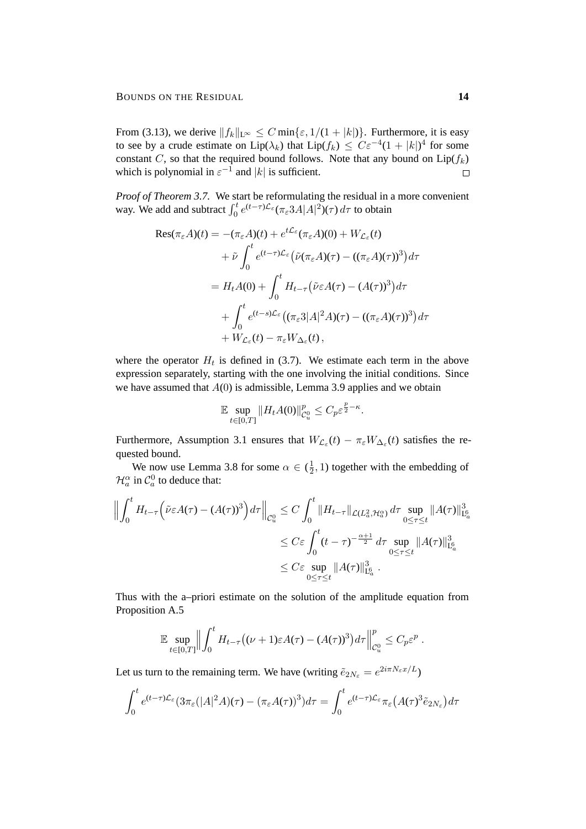From (3.13), we derive  $||f_k||_{L^{\infty}} \leq C \min\{\varepsilon, 1/(1+|k|)\}\.$  Furthermore, it is easy to see by a crude estimate on  $Lip(\lambda_k)$  that  $Lip(f_k) \leq C\varepsilon^{-4}(1+|k|)^4$  for some constant C, so that the required bound follows. Note that any bound on  $Lip(f_k)$ which is polynomial in  $\varepsilon^{-1}$  and |k| is sufficient.  $\Box$ 

*Proof of Theorem 3.7.* We start be reformulating the residual in a more convenient way. We add and subtract  $\int_0^t e^{(t-\tau)L_{\varepsilon}} (\pi_{\varepsilon} 3A|A|^2)(\tau) d\tau$  to obtain

$$
\begin{split} \text{Res}(\pi_{\varepsilon}A)(t) &= -(\pi_{\varepsilon}A)(t) + e^{t\mathcal{L}_{\varepsilon}}(\pi_{\varepsilon}A)(0) + W_{\mathcal{L}_{\varepsilon}}(t) \\ &+ \tilde{\nu} \int_{0}^{t} e^{(t-\tau)\mathcal{L}_{\varepsilon}} \left( \tilde{\nu}(\pi_{\varepsilon}A)(\tau) - ((\pi_{\varepsilon}A)(\tau))^3 \right) d\tau \\ &= H_t A(0) + \int_{0}^{t} H_{t-\tau} \left( \tilde{\nu}\varepsilon A(\tau) - (A(\tau))^3 \right) d\tau \\ &+ \int_{0}^{t} e^{(t-s)\mathcal{L}_{\varepsilon}} \left( (\pi_{\varepsilon}3|A|^2 A)(\tau) - ((\pi_{\varepsilon}A)(\tau))^3 \right) d\tau \\ &+ W_{\mathcal{L}_{\varepsilon}}(t) - \pi_{\varepsilon}W_{\Delta_{\varepsilon}}(t) \,, \end{split}
$$

where the operator  $H_t$  is defined in (3.7). We estimate each term in the above expression separately, starting with the one involving the initial conditions. Since we have assumed that  $A(0)$  is admissible, Lemma 3.9 applies and we obtain

$$
\mathbb{E}\sup_{t\in[0,T]}\|H_tA(0)\|_{\mathcal{C}_u^0}^p\leq C_p\varepsilon^{\frac{p}{2}-\kappa}.
$$

Furthermore, Assumption 3.1 ensures that  $W_{\mathcal{L}_{\varepsilon}}(t) - \pi_{\varepsilon}W_{\Delta_{\varepsilon}}(t)$  satisfies the requested bound.

We now use Lemma 3.8 for some  $\alpha \in (\frac{1}{2})$  $\frac{1}{2}$ , 1) together with the embedding of  $\mathcal{H}_a^{\alpha}$  in  $\mathcal{C}_a^0$  to deduce that:

$$
\left\| \int_0^t H_{t-\tau} \left( \tilde{\nu} \varepsilon A(\tau) - (A(\tau))^3 \right) d\tau \right\|_{\mathcal{C}_u^0} \leq C \int_0^t \| H_{t-\tau} \|_{\mathcal{L}(L_a^2, \mathcal{H}_a^{\alpha})} d\tau \sup_{0 \leq \tau \leq t} \| A(\tau) \|_{\mathcal{L}_a^6}^3
$$
  

$$
\leq C \varepsilon \int_0^t (t-\tau)^{-\frac{\alpha+1}{2}} d\tau \sup_{0 \leq \tau \leq t} \| A(\tau) \|_{\mathcal{L}_a^6}^3
$$
  

$$
\leq C \varepsilon \sup_{0 \leq \tau \leq t} \| A(\tau) \|_{\mathcal{L}_a^6}^3.
$$

Thus with the a–priori estimate on the solution of the amplitude equation from Proposition A.5

$$
\mathbb{E}\sup_{t\in[0,T]}\Big\|\int_0^t H_{t-\tau}\big((\nu+1)\varepsilon A(\tau)-(A(\tau))^3\big)d\tau\Big\|_{\mathcal{C}_u^0}^p\leq C_p\varepsilon^p.
$$

Let us turn to the remaining term. We have (writing  $\tilde{e}_{2N_{\varepsilon}} = e^{2i\pi N_{\varepsilon}x/L}$ )

$$
\int_0^t e^{(t-\tau)\mathcal{L}_{\varepsilon}} (3\pi_{\varepsilon}(|A|^2 A)(\tau) - (\pi_{\varepsilon} A(\tau))^3) d\tau = \int_0^t e^{(t-\tau)\mathcal{L}_{\varepsilon}} \pi_{\varepsilon} (A(\tau)^3 \tilde{e}_{2N_{\varepsilon}}) d\tau
$$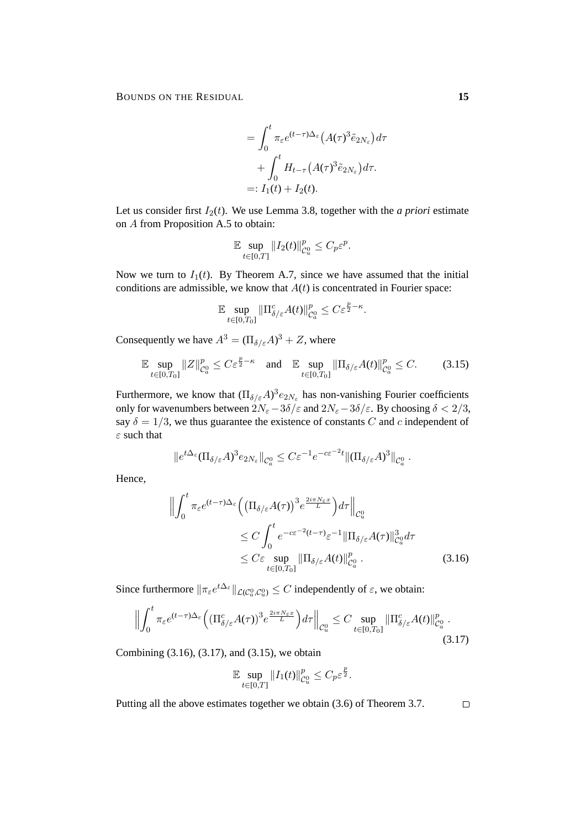BOUNDS ON THE RESIDUAL **15**

$$
= \int_0^t \pi_{\varepsilon} e^{(t-\tau)\Delta_{\varepsilon}} \left( A(\tau)^3 \tilde{e}_{2N_{\varepsilon}} \right) d\tau
$$

$$
+ \int_0^t H_{t-\tau} \left( A(\tau)^3 \tilde{e}_{2N_{\varepsilon}} \right) d\tau.
$$

$$
=: I_1(t) + I_2(t).
$$

Let us consider first  $I_2(t)$ . We use Lemma 3.8, together with the *a priori* estimate on A from Proposition A.5 to obtain:

$$
\mathbb{E}\sup_{t\in[0,T]}\|I_2(t)\|_{\mathcal{C}_u^0}^p\leq C_p\varepsilon^p.
$$

Now we turn to  $I_1(t)$ . By Theorem A.7, since we have assumed that the initial conditions are admissible, we know that  $A(t)$  is concentrated in Fourier space:

$$
\mathbb{E} \sup_{t \in [0,T_0]} \|\Pi_{\delta/\varepsilon}^c A(t)\|_{\mathcal{C}_a^0}^p \leq C \varepsilon^{\frac{p}{2}-\kappa}.
$$

Consequently we have  $A^3 = (\Pi_{\delta/\varepsilon} A)^3 + Z$ , where

$$
\mathbb{E}\sup_{t\in[0,T_0]}\|Z\|_{\mathcal{C}_a^0}^p \le C\varepsilon^{\frac{p}{2}-\kappa} \quad \text{and} \quad \mathbb{E}\sup_{t\in[0,T_0]}\|\Pi_{\delta/\varepsilon}A(t)\|_{\mathcal{C}_a^0}^p \le C. \tag{3.15}
$$

Furthermore, we know that  $(\Pi_{\delta/\varepsilon}A)^3e_{2N_{\varepsilon}}$  has non-vanishing Fourier coefficients only for wavenumbers between  $2N_{\varepsilon}-3\delta/\varepsilon$  and  $2N_{\varepsilon}-3\delta/\varepsilon$ . By choosing  $\delta < 2/3$ , say  $\delta = 1/3$ , we thus guarantee the existence of constants C and c independent of  $\varepsilon$  such that

$$
||e^{t\Delta_{\varepsilon}}(\Pi_{\delta/\varepsilon}A)^3 e_{2N_{\varepsilon}}||_{\mathcal{C}^0_a} \leq C\varepsilon^{-1}e^{-c\varepsilon^{-2}t} ||(\Pi_{\delta/\varepsilon}A)^3||_{\mathcal{C}^0_a}.
$$

Hence,

$$
\left\| \int_0^t \pi_{\varepsilon} e^{(t-\tau)\Delta_{\varepsilon}} \left( \left( \Pi_{\delta/\varepsilon} A(\tau) \right)^3 e^{\frac{2i\pi N_{\varepsilon} x}{L}} \right) d\tau \right\|_{C_u^0}
$$
  
\n
$$
\leq C \int_0^t e^{-c\varepsilon^{-2} (t-\tau)} \varepsilon^{-1} \| \Pi_{\delta/\varepsilon} A(\tau) \|_{C_a^0}^3 d\tau
$$
  
\n
$$
\leq C \varepsilon \sup_{t \in [0,T_0]} \| \Pi_{\delta/\varepsilon} A(t) \|_{C_a^0}^p .
$$
\n(3.16)

Since furthermore  $\|\pi_{\varepsilon}e^{t\Delta_{\varepsilon}}\|_{\mathcal{L}(C^0_a,C^0_u)} \leq C$  independently of  $\varepsilon$ , we obtain:

$$
\left\| \int_0^t \pi_{\varepsilon} e^{(t-\tau)\Delta_{\varepsilon}} \Big( (\Pi_{\delta/\varepsilon}^c A(\tau))^3 e^{\frac{2i\pi N_{\varepsilon}x}{L}} \Big) d\tau \right\|_{\mathcal{C}_u^0} \leq C \sup_{t \in [0,T_0]} \|\Pi_{\delta/\varepsilon}^c A(t)\|_{\mathcal{C}_a^0}^p .
$$
\n(3.17)

Combining (3.16), (3.17), and (3.15), we obtain

$$
\mathbb{E}\sup_{t\in[0,T]}\|I_1(t)\|_{\mathcal{C}_u^0}^p\leq C_p\varepsilon^{\frac{p}{2}}.
$$

Putting all the above estimates together we obtain (3.6) of Theorem 3.7.

 $\Box$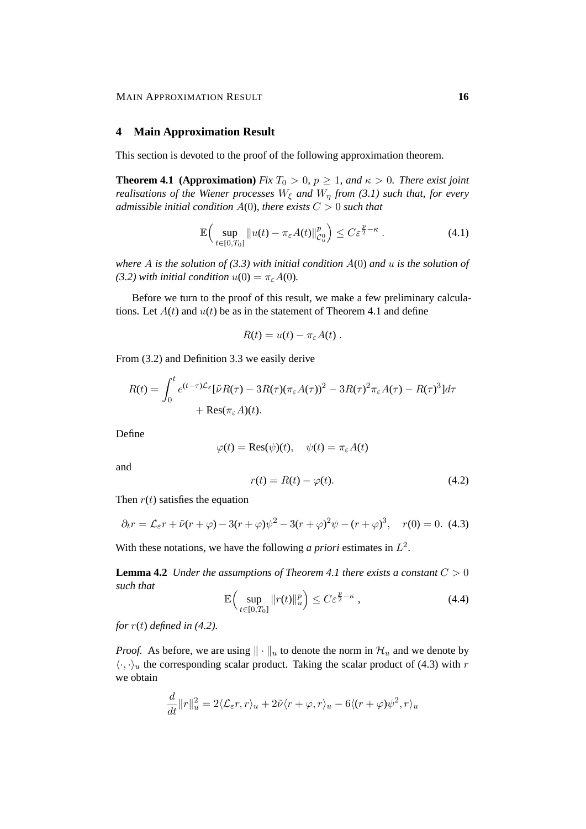#### **4 Main Approximation Result**

This section is devoted to the proof of the following approximation theorem.

**Theorem 4.1 (Approximation)** *Fix*  $T_0 > 0$ ,  $p \ge 1$ , and  $\kappa > 0$ . There exist joint *realisations of the Wiener processes*  $W_{\xi}$  *and*  $W_{\eta}$  *from* (3.1) such that, for every *admissible initial condition* A(0)*, there exists* C > 0 *such that*

$$
\mathbb{E}\Big(\sup_{t\in[0,T_0]}\big\|u(t)-\pi_{\varepsilon}A(t)\big\|_{\mathcal{C}_u^0}^p\Big)\leq C\varepsilon^{\frac{p}{2}-\kappa}.
$$
\n(4.1)

*where* A *is the solution of (3.3) with initial condition* A(0) *and* u *is the solution of (3.2) with initial condition*  $u(0) = \pi_{\epsilon}A(0)$ *.* 

Before we turn to the proof of this result, we make a few preliminary calculations. Let  $A(t)$  and  $u(t)$  be as in the statement of Theorem 4.1 and define

$$
R(t) = u(t) - \pi_{\varepsilon}A(t) .
$$

From (3.2) and Definition 3.3 we easily derive

$$
R(t) = \int_0^t e^{(t-\tau)\mathcal{L}_{\varepsilon}} [\tilde{\nu}R(\tau) - 3R(\tau)(\pi_{\varepsilon}A(\tau))^2 - 3R(\tau)^2 \pi_{\varepsilon}A(\tau) - R(\tau)^3] d\tau
$$

$$
+ Res(\pi_{\varepsilon}A)(t).
$$

Define

$$
\varphi(t) = \text{Res}(\psi)(t), \quad \psi(t) = \pi_{\varepsilon}A(t)
$$

and

$$
r(t) = R(t) - \varphi(t). \tag{4.2}
$$

Then  $r(t)$  satisfies the equation

$$
\partial_t r = \mathcal{L}_{\varepsilon} r + \tilde{\nu} (r + \varphi) - 3(r + \varphi) \psi^2 - 3(r + \varphi)^2 \psi - (r + \varphi)^3, \quad r(0) = 0. \tag{4.3}
$$

With these notations, we have the following *a priori* estimates in  $L^2$ .

**Lemma 4.2** *Under the assumptions of Theorem 4.1 there exists a constant*  $C > 0$ *such that*

$$
\mathbb{E}\left(\sup_{t\in[0,T_0]}\|r(t)\|_{u}^p\right)\leq C\varepsilon^{\frac{p}{2}-\kappa},\tag{4.4}
$$

*for* r(t) *defined in (4.2).*

*Proof.* As before, we are using  $\|\cdot\|_u$  to denote the norm in  $\mathcal{H}_u$  and we denote by  $\langle \cdot, \cdot \rangle_u$  the corresponding scalar product. Taking the scalar product of (4.3) with r we obtain

$$
\frac{d}{dt}||r||_u^2 = 2\langle \mathcal{L}_{\varepsilon}r, r \rangle_u + 2\tilde{\nu}\langle r + \varphi, r \rangle_u - 6\langle (r + \varphi)\psi^2, r \rangle_u
$$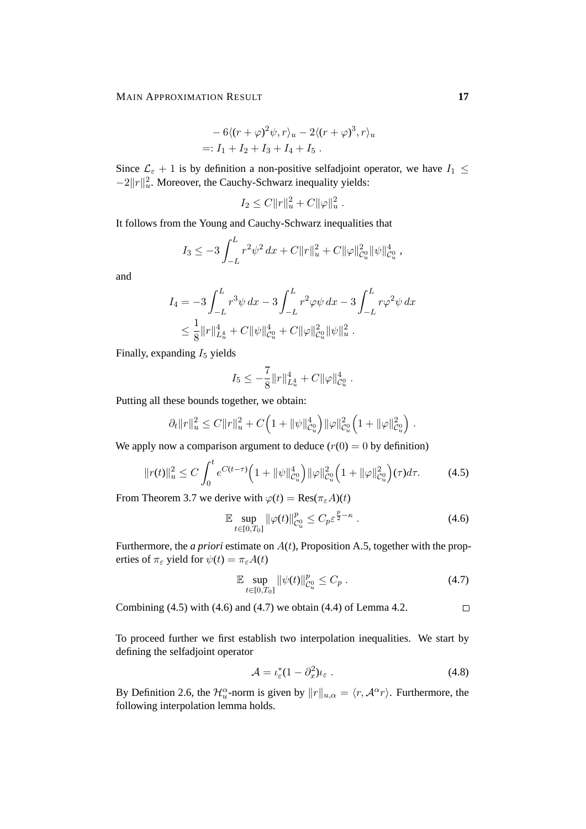$$
- 6\langle (r+\varphi)^2 \psi, r \rangle_u - 2\langle (r+\varphi)^3, r \rangle_u
$$
  
=:  $I_1 + I_2 + I_3 + I_4 + I_5$ .

Since  $\mathcal{L}_{\varepsilon}$  + 1 is by definition a non-positive selfadjoint operator, we have  $I_1 \leq$  $-2||r||_u^2$ . Moreover, the Cauchy-Schwarz inequality yields:

$$
I_2 \leq C ||r||_u^2 + C ||\varphi||_u^2.
$$

It follows from the Young and Cauchy-Schwarz inequalities that

$$
I_3 \leq -3 \int_{-L}^{L} r^2 \psi^2 dx + C ||r||_u^2 + C ||\varphi||_{\mathcal{C}_u^0}^2 ||\psi||_{\mathcal{C}_u^0}^4,
$$

and

$$
I_4 = -3 \int_{-L}^{L} r^3 \psi \, dx - 3 \int_{-L}^{L} r^2 \varphi \psi \, dx - 3 \int_{-L}^{L} r \varphi^2 \psi \, dx
$$
  

$$
\leq \frac{1}{8} ||r||_{L_u^4}^4 + C ||\psi||_{\mathcal{C}_u^0}^4 + C ||\varphi||_{\mathcal{C}_u^0}^2 ||\psi||_u^2.
$$

Finally, expanding  $I_5$  yields

$$
I_5 \leq -\frac{7}{8} ||r||_{L^4_u}^4 + C ||\varphi||_{\mathcal{C}_u^0}^4.
$$

Putting all these bounds together, we obtain:

$$
\partial_t ||r||_u^2 \leq C||r||_u^2 + C\Big(1 + ||\psi||_{\mathcal{C}_u^0}^4\Big) ||\varphi||_{\mathcal{C}_u^0}^2 \Big(1 + ||\varphi||_{\mathcal{C}_u^0}^2\Big).
$$

We apply now a comparison argument to deduce  $(r(0) = 0$  by definition)

$$
||r(t)||_{u}^{2} \leq C \int_{0}^{t} e^{C(t-\tau)} \Big( 1 + ||\psi||_{\mathcal{C}_{u}^{0}}^{4} \Big) ||\varphi||_{\mathcal{C}_{u}^{0}}^{2} \Big( 1 + ||\varphi||_{\mathcal{C}_{u}^{0}}^{2} \Big) (\tau) d\tau.
$$
 (4.5)

From Theorem 3.7 we derive with  $\varphi(t) = \text{Res}(\pi_{\varepsilon}A)(t)$ 

$$
\mathbb{E} \sup_{t \in [0,T_0]} \|\varphi(t)\|_{\mathcal{C}_u^0}^p \le C_p \varepsilon^{\frac{p}{2} - \kappa} \,. \tag{4.6}
$$

Furthermore, the *a priori* estimate on  $A(t)$ , Proposition A.5, together with the properties of  $\pi_{\varepsilon}$  yield for  $\psi(t) = \pi_{\varepsilon}A(t)$ 

$$
\mathbb{E} \sup_{t \in [0,T_0]} \|\psi(t)\|_{\mathcal{C}_u^0}^p \le C_p \,. \tag{4.7}
$$

Combining  $(4.5)$  with  $(4.6)$  and  $(4.7)$  we obtain  $(4.4)$  of Lemma 4.2.  $\Box$ 

To proceed further we first establish two interpolation inequalities. We start by defining the selfadjoint operator

$$
\mathcal{A} = \iota_{\varepsilon}^*(1 - \partial_x^2)\iota_{\varepsilon} \ . \tag{4.8}
$$

By Definition 2.6, the  $\mathcal{H}_u^{\alpha}$ -norm is given by  $||r||_{u,\alpha} = \langle r, \mathcal{A}^{\alpha}r \rangle$ . Furthermore, the following interpolation lemma holds.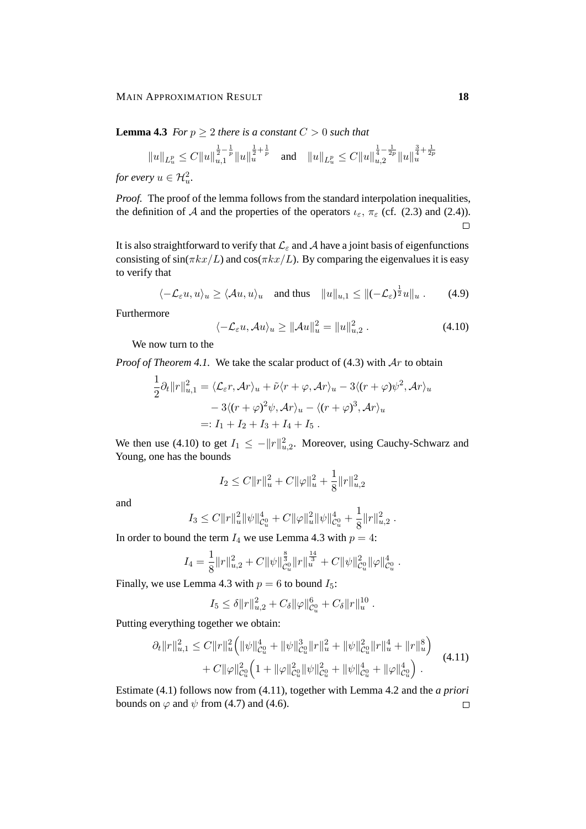**Lemma 4.3** *For*  $p \geq 2$  *there is a constant*  $C > 0$  *such that* 

$$
||u||_{L^p_u} \leq C||u||_{u,1}^{\frac{1}{2}-\frac{1}{p}}||u||_u^{\frac{1}{2}+\frac{1}{p}} \quad \text{and} \quad ||u||_{L^p_u} \leq C||u||_{u,2}^{\frac{1}{4}-\frac{1}{2p}}||u||_u^{\frac{3}{4}+\frac{1}{2p}}
$$

*for every*  $u \in \mathcal{H}_u^2$ .

*Proof.* The proof of the lemma follows from the standard interpolation inequalities, the definition of A and the properties of the operators  $\iota_{\varepsilon}$ ,  $\pi_{\varepsilon}$  (cf. (2.3) and (2.4)).  $\Box$ 

It is also straightforward to verify that  $\mathcal{L}_{\varepsilon}$  and A have a joint basis of eigenfunctions consisting of  $sin(\pi kx/L)$  and  $cos(\pi kx/L)$ . By comparing the eigenvalues it is easy to verify that

$$
\langle -\mathcal{L}_{\varepsilon}u, u \rangle_u \ge \langle \mathcal{A}u, u \rangle_u \quad \text{and thus} \quad ||u||_{u,1} \le ||(-\mathcal{L}_{\varepsilon})^{\frac{1}{2}}u||_u. \tag{4.9}
$$

Furthermore

$$
\langle -\mathcal{L}_{\varepsilon}u, \mathcal{A}u \rangle_u \ge ||\mathcal{A}u||_u^2 = ||u||_{u,2}^2. \tag{4.10}
$$

We now turn to the

1

*Proof of Theorem 4.1.* We take the scalar product of (4.3) with  $Ar$  to obtain

$$
\frac{1}{2}\partial_t ||r||_{u,1}^2 = \langle \mathcal{L}_{\varepsilon}r, \mathcal{A}r \rangle_u + \tilde{\nu} \langle r + \varphi, \mathcal{A}r \rangle_u - 3 \langle (r + \varphi)\psi^2, \mathcal{A}r \rangle_u
$$

$$
- 3 \langle (r + \varphi)^2 \psi, \mathcal{A}r \rangle_u - \langle (r + \varphi)^3, \mathcal{A}r \rangle_u
$$

$$
=: I_1 + I_2 + I_3 + I_4 + I_5.
$$

We then use (4.10) to get  $I_1 \n\t\leq -||r||^2_{u,2}$ . Moreover, using Cauchy-Schwarz and Young, one has the bounds

$$
I_2 \leq C ||r||_u^2 + C ||\varphi||_u^2 + \frac{1}{8} ||r||_{u,2}^2
$$

and

$$
I_3 \leq C ||r||_u^2 ||\psi||_{\mathcal{C}_u^0}^4 + C ||\varphi||_u^2 ||\psi||_{\mathcal{C}_u^0}^4 + \frac{1}{8} ||r||_{u,2}^2.
$$

In order to bound the term  $I_4$  we use Lemma 4.3 with  $p = 4$ :

$$
I_4 = \frac{1}{8} ||r||_{u,2}^2 + C ||\psi||_{\mathcal{C}_u^0}^{\frac{8}{3}} ||r||_u^{\frac{14}{3}} + C ||\psi||_{\mathcal{C}_u^0}^2 ||\varphi||_{\mathcal{C}_u^0}^4.
$$

Finally, we use Lemma 4.3 with  $p = 6$  to bound  $I_5$ :

$$
I_5 \leq \delta ||r||_{u,2}^2 + C_{\delta} ||\varphi||_{\mathcal{C}_u^0}^6 + C_{\delta} ||r||_u^{10}.
$$

Putting everything together we obtain:

$$
\partial_t ||r||_{u,1}^2 \le C ||r||_u^2 \Big( ||\psi||_{\mathcal{C}_u^0}^4 + ||\psi||_{\mathcal{C}_u^0}^3 ||r||_u^2 + ||\psi||_{\mathcal{C}_u^0}^2 ||r||_u^4 + ||r||_u^8 \Big) + C ||\varphi||_{\mathcal{C}_u^0}^2 \Big( 1 + ||\varphi||_{\mathcal{C}_u^0}^2 ||\psi||_{\mathcal{C}_u^0}^2 + ||\psi||_{\mathcal{C}_u^0}^4 + ||\varphi||_{\mathcal{C}_u^0}^4 \Big) . \tag{4.11}
$$

Estimate (4.1) follows now from (4.11), together with Lemma 4.2 and the *a priori* bounds on  $\varphi$  and  $\psi$  from (4.7) and (4.6).  $\Box$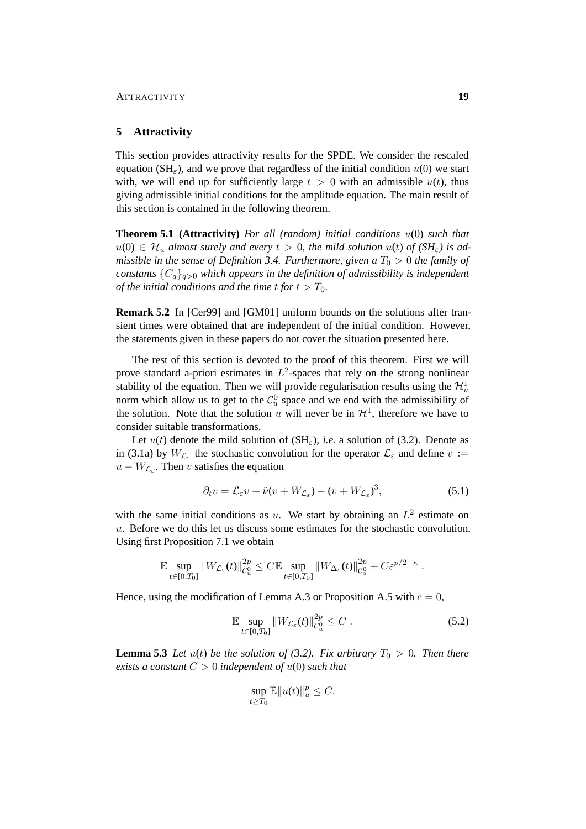#### **5 Attractivity**

This section provides attractivity results for the SPDE. We consider the rescaled equation (SH<sub> $\varepsilon$ </sub>), and we prove that regardless of the initial condition  $u(0)$  we start with, we will end up for sufficiently large  $t > 0$  with an admissible  $u(t)$ , thus giving admissible initial conditions for the amplitude equation. The main result of this section is contained in the following theorem.

**Theorem 5.1 (Attractivity)** *For all (random) initial conditions* u(0) *such that*  $u(0) \in \mathcal{H}_u$  almost surely and every  $t > 0$ , the mild solution  $u(t)$  of  $(SH_{\varepsilon})$  is ad*missible in the sense of Definition 3.4. Furthermore, given a*  $T_0 > 0$  *the family of constants*  ${C_q}_{q>0}$  *which appears in the definition of admissibility is independent of the initial conditions and the time t for*  $t > T_0$ *.* 

**Remark 5.2** In [Cer99] and [GM01] uniform bounds on the solutions after transient times were obtained that are independent of the initial condition. However, the statements given in these papers do not cover the situation presented here.

The rest of this section is devoted to the proof of this theorem. First we will prove standard a-priori estimates in  $L^2$ -spaces that rely on the strong nonlinear stability of the equation. Then we will provide regularisation results using the  $\mathcal{H}^1_u$ norm which allow us to get to the  $\mathcal{C}_u^0$  space and we end with the admissibility of the solution. Note that the solution u will never be in  $\mathcal{H}^1$ , therefore we have to consider suitable transformations.

Let  $u(t)$  denote the mild solution of  $(SH_{\varepsilon})$ , *i.e.* a solution of (3.2). Denote as in (3.1a) by  $W_{\mathcal{L}_{\varepsilon}}$  the stochastic convolution for the operator  $\mathcal{L}_{\varepsilon}$  and define  $v :=$  $u - W_{\mathcal{L}_{\varepsilon}}$ . Then v satisfies the equation

$$
\partial_t v = \mathcal{L}_{\varepsilon} v + \tilde{\nu} (v + W_{\mathcal{L}_{\varepsilon}}) - (v + W_{\mathcal{L}_{\varepsilon}})^3, \tag{5.1}
$$

with the same initial conditions as u. We start by obtaining an  $L^2$  estimate on u. Before we do this let us discuss some estimates for the stochastic convolution. Using first Proposition 7.1 we obtain

$$
\mathbb{E} \sup_{t \in [0,T_0]} \|W_{\mathcal{L}_{\varepsilon}}(t)\|_{\mathcal{C}_u^0}^{2p} \leq C \mathbb{E} \sup_{t \in [0,T_0]} \|W_{\Delta_{\varepsilon}}(t)\|_{\mathcal{C}_u^0}^{2p} + C \varepsilon^{p/2 - \kappa}.
$$

Hence, using the modification of Lemma A.3 or Proposition A.5 with  $c = 0$ ,

$$
\mathbb{E} \sup_{t \in [0,T_0]} \|W_{\mathcal{L}_{\varepsilon}}(t)\|_{\mathcal{C}_u^0}^{2p} \le C \ . \tag{5.2}
$$

**Lemma 5.3** *Let*  $u(t)$  *be the solution of (3.2). Fix arbitrary*  $T_0 > 0$ *. Then there exists a constant*  $C > 0$  *independent of*  $u(0)$  *such that* 

$$
\sup_{t\geq T_0}\mathbb{E}||u(t)||_u^p\leq C.
$$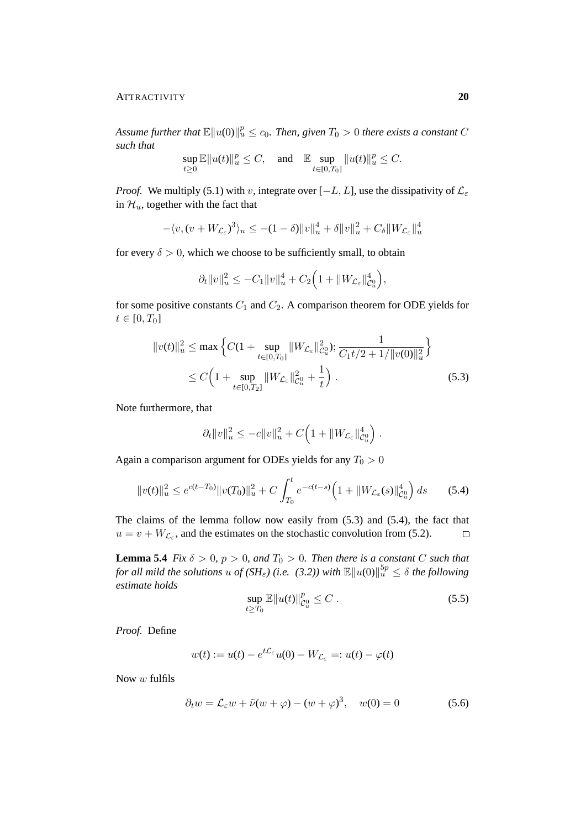#### ATTRACTIVITY **20**

Assume further that  $\mathbb{E} \| u(0) \|_u^p \leq c_0$ . Then, given  $T_0 > 0$  there exists a constant  $C$ *such that*

$$
\sup_{t\geq 0}\mathbb{E}||u(t)||_{u}^{p}\leq C, \quad \text{and} \quad \mathbb{E}\sup_{t\in[0,T_{0}]}||u(t)||_{u}^{p}\leq C.
$$

*Proof.* We multiply (5.1) with v, integrate over  $[-L, L]$ , use the dissipativity of  $\mathcal{L}_{\varepsilon}$ in  $\mathcal{H}_u$ , together with the fact that

$$
-\langle v, (v + W_{\mathcal{L}_{\varepsilon}})^{3} \rangle_{u} \le -(1 - \delta) \|v\|_{u}^{4} + \delta \|v\|_{u}^{2} + C_{\delta} \|W_{\mathcal{L}_{\varepsilon}}\|_{u}^{4}
$$

for every  $\delta > 0$ , which we choose to be sufficiently small, to obtain

$$
\partial_t \|v\|_u^2 \leq -C_1 \|v\|_u^4 + C_2 \Big(1 + \|W_{\mathcal{L}_{\varepsilon}}\|_{\mathcal{C}_u^0}^4\Big),
$$

for some positive constants  $C_1$  and  $C_2$ . A comparison theorem for ODE yields for  $t \in [0, T_0]$ 

$$
||v(t)||_{u}^{2} \leq \max \left\{ C(1 + \sup_{t \in [0, T_{0}]} ||W_{\mathcal{L}_{\varepsilon}}||_{\mathcal{C}_{u}}^{2}); \frac{1}{C_{1}t/2 + 1/||v(0)||_{u}^{2}} \right\}
$$
  
 
$$
\leq C \left( 1 + \sup_{t \in [0, T_{2}]} ||W_{\mathcal{L}_{\varepsilon}}||_{\mathcal{C}_{u}}^{2} + \frac{1}{t} \right).
$$
 (5.3)

Note furthermore, that

$$
\partial_t \|v\|_u^2 \le -c\|v\|_u^2 + C\Big(1 + \|W_{\mathcal{L}_{\varepsilon}}\|_{\mathcal{C}_u^0}^4\Big) .
$$

Again a comparison argument for ODEs yields for any  $T_0 > 0$ 

$$
||v(t)||_{u}^{2} \leq e^{c(t-T_{0})}||v(T_{0})||_{u}^{2} + C \int_{T_{0}}^{t} e^{-c(t-s)} \left(1 + ||W_{\mathcal{L}_{\varepsilon}}(s)||_{\mathcal{C}_{u}^{0}}^{4}\right) ds \qquad (5.4)
$$

The claims of the lemma follow now easily from (5.3) and (5.4), the fact that  $u = v + W_{\mathcal{L}_{\varepsilon}}$ , and the estimates on the stochastic convolution from (5.2).  $\Box$ 

**Lemma 5.4** *Fix*  $\delta > 0$ *,*  $p > 0$ *, and*  $T_0 > 0$ *. Then there is a constant* C *such that* for all mild the solutions  $u$  of (SH<sub>ε</sub>) (i.e. (3.2)) with  $\mathbb{E} \| u(0) \|_u^{5p} \leq \delta$  the following *estimate holds*

$$
\sup_{t \ge T_0} \mathbb{E} \|u(t)\|_{\mathcal{C}_u^0}^p \le C \,. \tag{5.5}
$$

*Proof.* Define

$$
w(t) := u(t) - e^{t\mathcal{L}_{\varepsilon}}u(0) - W_{\mathcal{L}_{\varepsilon}} =: u(t) - \varphi(t)
$$

Now w fulfils

$$
\partial_t w = \mathcal{L}_{\varepsilon} w + \tilde{\nu}(w + \varphi) - (w + \varphi)^3, \quad w(0) = 0 \tag{5.6}
$$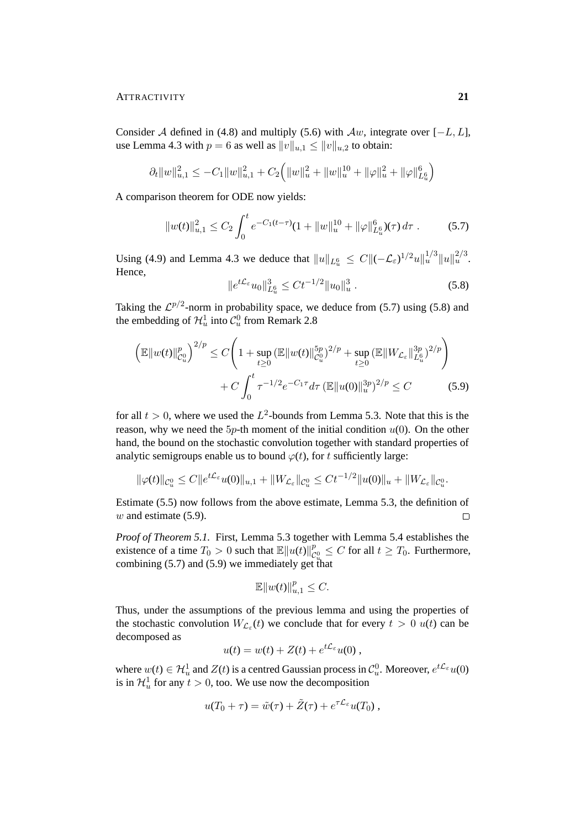#### ATTRACTIVITY **21**

Consider A defined in (4.8) and multiply (5.6) with  $Aw$ , integrate over  $[-L, L]$ , use Lemma 4.3 with  $p = 6$  as well as  $||v||_{u,1} \le ||v||_{u,2}$  to obtain:

$$
\partial_t \|w\|_{u,1}^2 \le -C_1 \|w\|_{u,1}^2 + C_2 \Big( \|w\|_u^2 + \|w\|_u^{10} + \|\varphi\|_u^2 + \|\varphi\|_{L^6_u}^6 \Big)
$$

A comparison theorem for ODE now yields:

$$
||w(t)||_{u,1}^2 \le C_2 \int_0^t e^{-C_1(t-\tau)} (1+||w||_u^{10} + ||\varphi||_{L_u^6}^6)(\tau) d\tau. \tag{5.7}
$$

Using (4.9) and Lemma 4.3 we deduce that  $||u||_{L^6_u} \leq C ||(-\mathcal{L}_{\varepsilon})^{1/2} u||_u^{1/3} ||u||_u^{2/3}$ . Hence,

$$
||e^{t\mathcal{L}_{\varepsilon}}u_0||_{L^6_u}^3 \le Ct^{-1/2}||u_0||_u^3.
$$
\n(5.8)

Taking the  $\mathcal{L}^{p/2}$ -norm in probability space, we deduce from (5.7) using (5.8) and the embedding of  $\mathcal{H}^1_u$  into  $\mathcal{C}^0_u$  from Remark 2.8

$$
\left(\mathbb{E}||w(t)||_{C_{u}^{0}}^{p}\right)^{2/p} \leq C\left(1+\sup_{t\geq 0} \left(\mathbb{E}||w(t)||_{C_{u}^{0}}^{5p}\right)^{2/p} + \sup_{t\geq 0} \left(\mathbb{E}||W_{\mathcal{L}_{\varepsilon}}||_{L_{u}^{6}}^{3p}\right)^{2/p}\right) + C\int_{0}^{t} \tau^{-1/2} e^{-C_{1}\tau} d\tau \left(\mathbb{E}||u(0)||_{u}^{3p}\right)^{2/p} \leq C\tag{5.9}
$$

for all  $t > 0$ , where we used the  $L^2$ -bounds from Lemma 5.3. Note that this is the reason, why we need the  $5p$ -th moment of the initial condition  $u(0)$ . On the other hand, the bound on the stochastic convolution together with standard properties of analytic semigroups enable us to bound  $\varphi(t)$ , for t sufficiently large:

$$
\|\varphi(t)\|_{\mathcal{C}_u^0} \leq C \|e^{t\mathcal{L}_{\varepsilon}}u(0)\|_{u,1} + \|W_{\mathcal{L}_{\varepsilon}}\|_{\mathcal{C}_u^0} \leq Ct^{-1/2} \|u(0)\|_u + \|W_{\mathcal{L}_{\varepsilon}}\|_{\mathcal{C}_u^0}.
$$

Estimate (5.5) now follows from the above estimate, Lemma 5.3, the definition of  $w$  and estimate (5.9).  $\Box$ 

*Proof of Theorem 5.1.* First, Lemma 5.3 together with Lemma 5.4 establishes the existence of a time  $T_0 > 0$  such that  $\mathbb{E} \| u(t) \|_{\mathcal{C}}^p$  $\mathit{l}_{\mathcal{C}_{u_\epsilon}^{0}}^{p} \leq C$  for all  $t \geq T_0.$  Furthermore, combining  $(5.7)$  and  $(5.9)$  we immediately get that

$$
\mathbb{E} \|w(t)\|_{u,1}^p \le C.
$$

Thus, under the assumptions of the previous lemma and using the properties of the stochastic convolution  $W_{\mathcal{L}_{\varepsilon}}(t)$  we conclude that for every  $t > 0$   $u(t)$  can be decomposed as

$$
u(t) = w(t) + Z(t) + e^{t\mathcal{L}_{\varepsilon}}u(0) ,
$$

where  $w(t) \in \mathcal{H}_u^1$  and  $Z(t)$  is a centred Gaussian process in  $\mathcal{C}_u^0$ . Moreover,  $e^{t\mathcal{L}_{\varepsilon}}u(0)$ is in  $\mathcal{H}_u^1$  for any  $t > 0$ , too. We use now the decomposition

$$
u(T_0 + \tau) = \tilde{w}(\tau) + \tilde{Z}(\tau) + e^{\tau \mathcal{L}_{\varepsilon}} u(T_0) ,
$$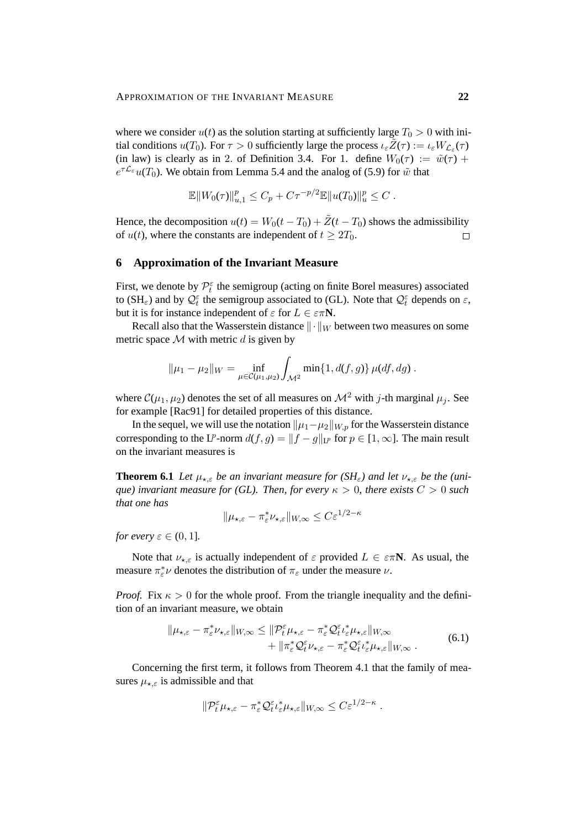where we consider  $u(t)$  as the solution starting at sufficiently large  $T_0 > 0$  with initial conditions  $u(T_0)$ . For  $\tau > 0$  sufficiently large the process  $\iota_{\varepsilon} \widetilde{Z}(\tau) := \iota_{\varepsilon} W_{\mathcal{L}_{\varepsilon}}(\tau)$ (in law) is clearly as in 2. of Definition 3.4. For 1. define  $W_0(\tau) := \tilde{w}(\tau) +$  $e^{\tau \mathcal{L}_{\varepsilon}} u(T_0)$ . We obtain from Lemma 5.4 and the analog of (5.9) for  $\tilde{w}$  that

$$
\mathbb{E} \|W_0(\tau)\|_{u,1}^p \le C_p + C\tau^{-p/2} \mathbb{E} \|u(T_0)\|_{u}^p \le C.
$$

Hence, the decomposition  $u(t) = W_0(t - T_0) + \tilde{Z}(t - T_0)$  shows the admissibility of  $u(t)$ , where the constants are independent of  $t > 2T_0$ .  $\Box$ 

#### **6 Approximation of the Invariant Measure**

First, we denote by  $\mathcal{P}_t^{\varepsilon}$  the semigroup (acting on finite Borel measures) associated to (SH<sub> $\varepsilon$ </sub>) and by  $\mathcal{Q}_t^{\varepsilon}$  the semigroup associated to (GL). Note that  $\mathcal{Q}_t^{\varepsilon}$  depends on  $\varepsilon$ , but it is for instance independent of  $\varepsilon$  for  $L \in \varepsilon \pi N$ .

Recall also that the Wasserstein distance  $\|\cdot\|_W$  between two measures on some metric space  $M$  with metric d is given by

$$
\|\mu_1 - \mu_2\|_{W} = \inf_{\mu \in C(\mu_1, \mu_2)} \int_{\mathcal{M}^2} \min\{1, d(f, g)\} \, \mu(df, dg) \, .
$$

where  $\mathcal{C}(\mu_1, \mu_2)$  denotes the set of all measures on  $\mathcal{M}^2$  with j-th marginal  $\mu_i$ . See for example [Rac91] for detailed properties of this distance.

In the sequel, we will use the notation  $||\mu_1-\mu_2||_{W,p}$  for the Wasserstein distance corresponding to the L<sup>p</sup>-norm  $d(f, g) = ||f - g||_{L^p}$  for  $p \in [1, \infty]$ . The main result on the invariant measures is

**Theorem 6.1** *Let*  $\mu_{\star,\varepsilon}$  *be an invariant measure for (SH<sub>* $\varepsilon$ *</sub>) and let*  $\nu_{\star,\varepsilon}$  *be the (unique) invariant measure for (GL). Then, for every*  $\kappa > 0$ *, there exists*  $C > 0$  *such that one has*

$$
\|\mu_{\star,\varepsilon} - \pi_{\varepsilon}^* \nu_{\star,\varepsilon}\|_{W,\infty} \le C \varepsilon^{1/2 - \kappa}
$$

*for every*  $\varepsilon \in (0, 1]$ *.* 

Note that  $\nu_{\star,\varepsilon}$  is actually independent of  $\varepsilon$  provided  $L \in \varepsilon \pi N$ . As usual, the measure  $\pi_{\varepsilon}^* \nu$  denotes the distribution of  $\pi_{\varepsilon}$  under the measure  $\nu$ .

*Proof.* Fix  $\kappa > 0$  for the whole proof. From the triangle inequality and the definition of an invariant measure, we obtain

$$
\|\mu_{\star,\varepsilon} - \pi_{\varepsilon}^* \nu_{\star,\varepsilon}\|_{W,\infty} \leq \|\mathcal{P}_t^{\varepsilon} \mu_{\star,\varepsilon} - \pi_{\varepsilon}^* \mathcal{Q}_t^{\varepsilon} \nu_{\varepsilon}^* \mu_{\star,\varepsilon}\|_{W,\infty} + \|\pi_{\varepsilon}^* \mathcal{Q}_t^{\varepsilon} \nu_{\star,\varepsilon} - \pi_{\varepsilon}^* \mathcal{Q}_t^{\varepsilon} \nu_{\varepsilon}^* \mu_{\star,\varepsilon}\|_{W,\infty}.
$$
\n(6.1)

Concerning the first term, it follows from Theorem 4.1 that the family of measures  $\mu_{\star,\varepsilon}$  is admissible and that

$$
\|\mathcal{P}_t^{\varepsilon}\mu_{\star,\varepsilon}-\pi_{\varepsilon}^*\mathcal{Q}_t^{\varepsilon}\iota_{\varepsilon}^*\mu_{\star,\varepsilon}\|_{W,\infty}\leq C\varepsilon^{1/2-\kappa}.
$$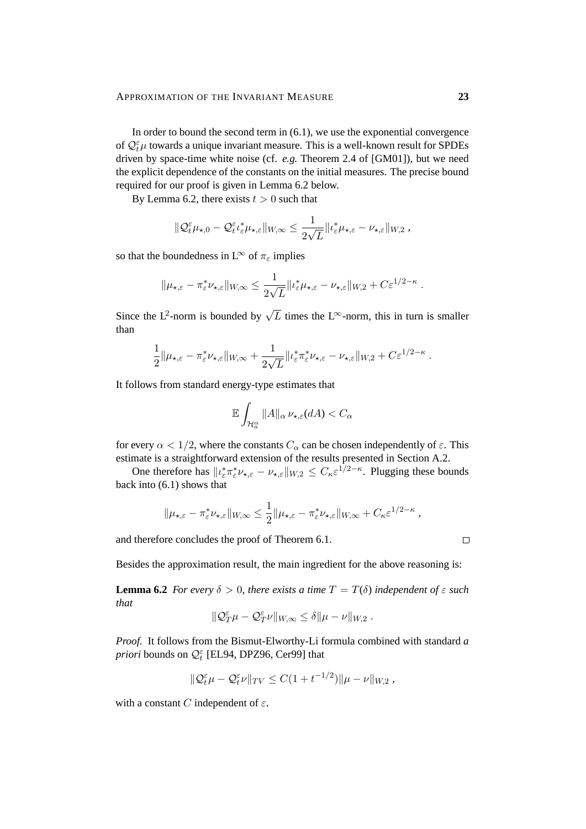In order to bound the second term in  $(6.1)$ , we use the exponential convergence of  $\mathcal{Q}_t^{\varepsilon}$  towards a unique invariant measure. This is a well-known result for SPDEs driven by space-time white noise (cf. *e.g.* Theorem 2.4 of [GM01]), but we need the explicit dependence of the constants on the initial measures. The precise bound required for our proof is given in Lemma 6.2 below.

By Lemma 6.2, there exists  $t > 0$  such that

$$
\|\mathcal{Q}_t^{\varepsilon}\mu_{\star,0}-\mathcal{Q}_t^{\varepsilon}\iota_{\varepsilon}^*\mu_{\star,\varepsilon}\|_{W,\infty}\leq \frac{1}{2\sqrt{L}}\|\iota_{\varepsilon}^*\mu_{\star,\varepsilon}-\nu_{\star,\varepsilon}\|_{W,2},
$$

so that the boundedness in L<sup>∞</sup> of  $\pi_{\epsilon}$  implies

$$
\|\mu_{\star,\varepsilon}-\pi_{\varepsilon}^*\nu_{\star,\varepsilon}\|_{W,\infty}\leq \frac{1}{2\sqrt{L}}\|\iota_{\varepsilon}^*\mu_{\star,\varepsilon}-\nu_{\star,\varepsilon}\|_{W,2}+C\varepsilon^{1/2-\kappa}.
$$

Since the L<sup>2</sup>-norm is bounded by  $\sqrt{L}$  times the L<sup>∞</sup>-norm, this in turn is smaller than

$$
\frac{1}{2} \|\mu_{\star,\varepsilon} - \pi_{\varepsilon}^* \nu_{\star,\varepsilon} \|_{W,\infty} + \frac{1}{2\sqrt{L}} \| \iota_{\varepsilon}^* \pi_{\varepsilon}^* \nu_{\star,\varepsilon} - \nu_{\star,\varepsilon} \|_{W,2} + C \varepsilon^{1/2-\kappa}.
$$

It follows from standard energy-type estimates that

$$
\mathbb{E}\int_{\mathcal{H}_a^{\alpha}}\|A\|_{\alpha}\,\nu_{\star,\varepsilon}(dA)
$$

for every  $\alpha < 1/2$ , where the constants  $C_{\alpha}$  can be chosen independently of  $\varepsilon$ . This estimate is a straightforward extension of the results presented in Section A.2.

One therefore has  $||\iota_{\varepsilon}^* \pi_{\varepsilon}^* \nu_{\star,\varepsilon} - \nu_{\star,\varepsilon}||_{W,2} \leq C_{\kappa} \varepsilon^{1/2-\kappa}$ . Plugging these bounds back into (6.1) shows that

$$
\|\mu_{\star,\varepsilon} - \pi_{\varepsilon}^* \nu_{\star,\varepsilon}\|_{W,\infty} \leq \frac{1}{2} \|\mu_{\star,\varepsilon} - \pi_{\varepsilon}^* \nu_{\star,\varepsilon}\|_{W,\infty} + C_{\kappa} \varepsilon^{1/2 - \kappa}
$$

and therefore concludes the proof of Theorem 6.1.

Besides the approximation result, the main ingredient for the above reasoning is:

**Lemma 6.2** *For every*  $\delta > 0$ *, there exists a time*  $T = T(\delta)$  *independent of*  $\varepsilon$  *such that*

$$
\|\mathcal{Q}^{\varepsilon}_{T}\mu-\mathcal{Q}^{\varepsilon}_{T}\nu\|_{W,\infty}\leq \delta \|\mu-\nu\|_{W,2}\;.
$$

*Proof.* It follows from the Bismut-Elworthy-Li formula combined with standard *a priori* bounds on  $\mathcal{Q}_t^{\varepsilon}$  [EL94, DPZ96, Cer99] that

$$
\|\mathcal{Q}_t^{\varepsilon}\mu-\mathcal{Q}_t^{\varepsilon}\nu\|_{TV}\leq C(1+t^{-1/2})\|\mu-\nu\|_{W,2},
$$

with a constant C independent of  $\varepsilon$ .

 $\Box$ 

,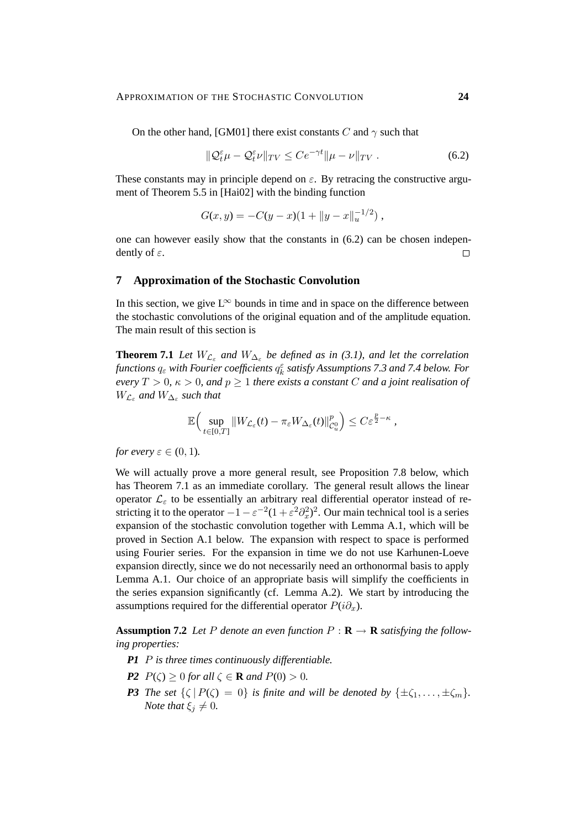On the other hand, [GM01] there exist constants C and  $\gamma$  such that

$$
\|\mathcal{Q}_t^{\varepsilon}\mu - \mathcal{Q}_t^{\varepsilon}\nu\|_{TV} \le C e^{-\gamma t} \|\mu - \nu\|_{TV} \tag{6.2}
$$

These constants may in principle depend on  $\varepsilon$ . By retracing the constructive argument of Theorem 5.5 in [Hai02] with the binding function

$$
G(x, y) = -C(y - x)(1 + ||y - x||_u^{-1/2}),
$$

one can however easily show that the constants in (6.2) can be chosen independently of  $\varepsilon$ .  $\Box$ 

## **7 Approximation of the Stochastic Convolution**

In this section, we give  $L^{\infty}$  bounds in time and in space on the difference between the stochastic convolutions of the original equation and of the amplitude equation. The main result of this section is

**Theorem 7.1** *Let*  $W_{\mathcal{L}_{\varepsilon}}$  *and*  $W_{\Delta_{\varepsilon}}$  *be defined as in (3.1), and let the correlation* functions  $q_{\varepsilon}$  with Fourier coefficients  $q^\varepsilon_k$  satisfy Assumptions 7.3 and 7.4 below. For *every*  $T > 0$ ,  $\kappa > 0$ , and  $p \ge 1$  *there exists a constant* C *and a joint realisation of*  $W_{\mathcal{L}_{\varepsilon}}$  and  $W_{\Delta_{\varepsilon}}$  such that

$$
\mathbb{E}\Big(\sup_{t\in[0,T]}\|W_{\mathcal{L}_{\varepsilon}}(t)-\pi_{\varepsilon}W_{\Delta_{\varepsilon}}(t)\|_{\mathcal{C}_{u}^{0}}^{p}\Big)\leq C\varepsilon^{\frac{p}{2}-\kappa}\,,
$$

*for every*  $\varepsilon \in (0,1)$ *.* 

We will actually prove a more general result, see Proposition 7.8 below, which has Theorem 7.1 as an immediate corollary. The general result allows the linear operator  $\mathcal{L}_{\varepsilon}$  to be essentially an arbitrary real differential operator instead of restricting it to the operator  $-1 - \varepsilon^{-2}(1 + \varepsilon^2 \partial_x^2)^2$ . Our main technical tool is a series expansion of the stochastic convolution together with Lemma A.1, which will be proved in Section A.1 below. The expansion with respect to space is performed using Fourier series. For the expansion in time we do not use Karhunen-Loeve expansion directly, since we do not necessarily need an orthonormal basis to apply Lemma A.1. Our choice of an appropriate basis will simplify the coefficients in the series expansion significantly (cf. Lemma A.2). We start by introducing the assumptions required for the differential operator  $P(i\partial_x)$ .

**Assumption 7.2** Let P denote an even function  $P : \mathbf{R} \to \mathbf{R}$  satisfying the follow*ing properties:*

- *P1* P *is three times continuously differentiable.*
- *P2*  $P(\zeta) > 0$  *for all*  $\zeta \in \mathbf{R}$  *and*  $P(0) > 0$ *.*
- *P3 The set*  $\{\zeta | P(\zeta) = 0\}$  *is finite and will be denoted by*  $\{\pm \zeta_1, \ldots, \pm \zeta_m\}$ *. Note that*  $\xi_i \neq 0$ *.*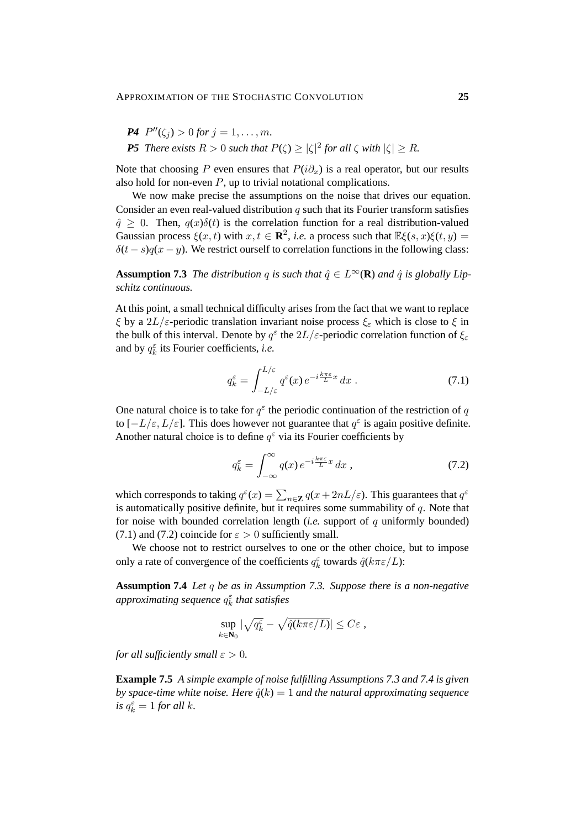\n- **P4** 
$$
P''(\zeta_j) > 0
$$
 for  $j = 1, \ldots, m$ .
\n- **P5** *There exists*  $R > 0$  *such that*  $P(\zeta) \geq |\zeta|^2$  for all  $\zeta$  with  $|\zeta| \geq R$ .
\n

Note that choosing P even ensures that  $P(i\partial_x)$  is a real operator, but our results also hold for non-even  $P$ , up to trivial notational complications.

We now make precise the assumptions on the noise that drives our equation. Consider an even real-valued distribution  $q$  such that its Fourier transform satisfies  $\hat{q} > 0$ . Then,  $q(x)\delta(t)$  is the correlation function for a real distribution-valued Gaussian process  $\xi(x, t)$  with  $x, t \in \mathbb{R}^2$ , *i.e.* a process such that  $\mathbb{E}\xi(s, x)\xi(t, y) =$  $\delta(t - s)q(x - y)$ . We restrict ourself to correlation functions in the following class:

**Assumption 7.3** *The distribution* q *is such that*  $\hat{q} \in L^{\infty}(\mathbf{R})$  *and*  $\hat{q}$  *is globally Lipschitz continuous.*

At this point, a small technical difficulty arises from the fact that we want to replace ξ by a  $2L/\varepsilon$ -periodic translation invariant noise process  $\xi_{\varepsilon}$  which is close to  $\xi$  in the bulk of this interval. Denote by  $q^{\varepsilon}$  the  $2L/\varepsilon$ -periodic correlation function of  $\xi_{\varepsilon}$ and by  $q_k^{\varepsilon}$  its Fourier coefficients, *i.e.* 

$$
q_k^{\varepsilon} = \int_{-L/\varepsilon}^{L/\varepsilon} q^{\varepsilon}(x) e^{-i\frac{k\pi\varepsilon}{L}x} dx . \tag{7.1}
$$

One natural choice is to take for  $q^{\epsilon}$  the periodic continuation of the restriction of q to  $[-L/\varepsilon, L/\varepsilon]$ . This does however not guarantee that  $q^{\varepsilon}$  is again positive definite. Another natural choice is to define  $q^{\varepsilon}$  via its Fourier coefficients by

$$
q_k^{\varepsilon} = \int_{-\infty}^{\infty} q(x) e^{-i\frac{k\pi\varepsilon}{L}x} dx , \qquad (7.2)
$$

which corresponds to taking  $q^{\varepsilon}(x) = \sum_{n \in \mathbb{Z}} q(x + 2nL/\varepsilon)$ . This guarantees that  $q^{\varepsilon}$ is automatically positive definite, but it requires some summability of  $q$ . Note that for noise with bounded correlation length (*i.e.* support of q uniformly bounded) (7.1) and (7.2) coincide for  $\varepsilon > 0$  sufficiently small.

We choose not to restrict ourselves to one or the other choice, but to impose only a rate of convergence of the coefficients  $q_k^{\varepsilon}$  towards  $\hat{q}(k\pi \varepsilon/L)$ :

**Assumption 7.4** *Let* q *be as in Assumption 7.3. Suppose there is a non-negative approximating sequence* q ε k *that satisfies*

$$
\sup_{k \in \mathbf{N}_0} |\sqrt{q_k^{\varepsilon}} - \sqrt{\hat{q}(k\pi \varepsilon/L)}| \leq C\varepsilon,
$$

*for all sufficiently small*  $\varepsilon > 0$ *.* 

**Example 7.5** *A simple example of noise fulfilling Assumptions 7.3 and 7.4 is given by space-time white noise. Here*  $\hat{q}(k) = 1$  *and the natural approximating sequence is*  $q_k^{\varepsilon} = 1$  *for all k.*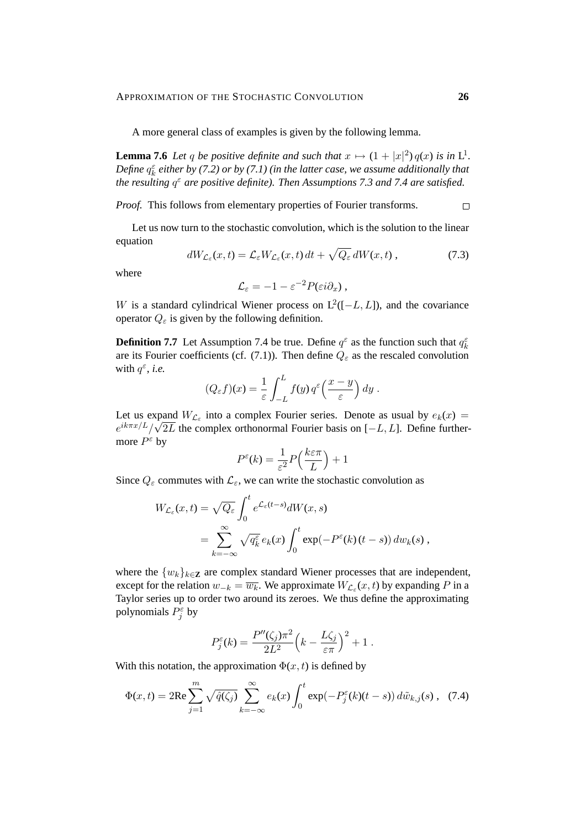A more general class of examples is given by the following lemma.

**Lemma 7.6** Let q be positive definite and such that  $x \mapsto (1 + |x|^2)q(x)$  is in L<sup>1</sup>. Define  $q_k^{\varepsilon}$  either by (7.2) or by (7.1) (in the latter case, we assume additionally that *the resulting*  $q^{\varepsilon}$  are positive definite). Then Assumptions 7.3 and 7.4 are satisfied.

*Proof.* This follows from elementary properties of Fourier transforms.  $\Box$ 

Let us now turn to the stochastic convolution, which is the solution to the linear equation

$$
dW_{\mathcal{L}_{\varepsilon}}(x,t) = \mathcal{L}_{\varepsilon}W_{\mathcal{L}_{\varepsilon}}(x,t) dt + \sqrt{Q_{\varepsilon}} dW(x,t) , \qquad (7.3)
$$

where

$$
\mathcal{L}_{\varepsilon}=-1-\varepsilon^{-2}P(\varepsilon i\partial_x)\,,
$$

W is a standard cylindrical Wiener process on  $L^2([-L, L])$ , and the covariance operator  $Q_{\varepsilon}$  is given by the following definition.

**Definition 7.7** Let Assumption 7.4 be true. Define  $q^{\varepsilon}$  as the function such that  $q_k^{\varepsilon}$ are its Fourier coefficients (cf. (7.1)). Then define  $Q_{\varepsilon}$  as the rescaled convolution with  $q^{\varepsilon}$ , *i.e.* 

$$
(Q_{\varepsilon} f)(x) = \frac{1}{\varepsilon} \int_{-L}^{L} f(y) q^{\varepsilon} \left( \frac{x - y}{\varepsilon} \right) dy.
$$

Let us expand  $W_{\mathcal{L}_{\varepsilon}}$  into a complex Fourier series. Denote as usual by  $e_k(x) =$  $e^{ik\pi x/L}/\sqrt{2L}$  the complex orthonormal Fourier basis on [-L, L]. Define furthermore  $P^{\varepsilon}$  by

$$
P^{\varepsilon}(k) = \frac{1}{\varepsilon^2} P\left(\frac{k\varepsilon\pi}{L}\right) + 1
$$

Since  $Q_{\varepsilon}$  commutes with  $\mathcal{L}_{\varepsilon}$ , we can write the stochastic convolution as

$$
W_{\mathcal{L}_{\varepsilon}}(x,t) = \sqrt{Q_{\varepsilon}} \int_0^t e^{\mathcal{L}_{\varepsilon}(t-s)} dW(x,s)
$$
  
= 
$$
\sum_{k=-\infty}^{\infty} \sqrt{q_k^{\varepsilon}} e_k(x) \int_0^t \exp(-P^{\varepsilon}(k)(t-s)) dw_k(s),
$$

where the  $\{w_k\}_{k\in\mathbb{Z}}$  are complex standard Wiener processes that are independent, except for the relation  $w_{-k} = \overline{w_k}$ . We approximate  $W_{\mathcal{L}_{\varepsilon}}(x, t)$  by expanding P in a Taylor series up to order two around its zeroes. We thus define the approximating polynomials  $P_j^{\varepsilon}$  by

$$
P_j^{\varepsilon}(k) = \frac{P''(\zeta_j)\pi^2}{2L^2}\left(k - \frac{L\zeta_j}{\varepsilon\pi}\right)^2 + 1.
$$

With this notation, the approximation  $\Phi(x, t)$  is defined by

$$
\Phi(x,t) = 2\text{Re}\sum_{j=1}^{m} \sqrt{\hat{q}(\zeta_j)} \sum_{k=-\infty}^{\infty} e_k(x) \int_0^t \exp(-P_j^{\varepsilon}(k)(t-s)) d\tilde{w}_{k,j}(s) , \tag{7.4}
$$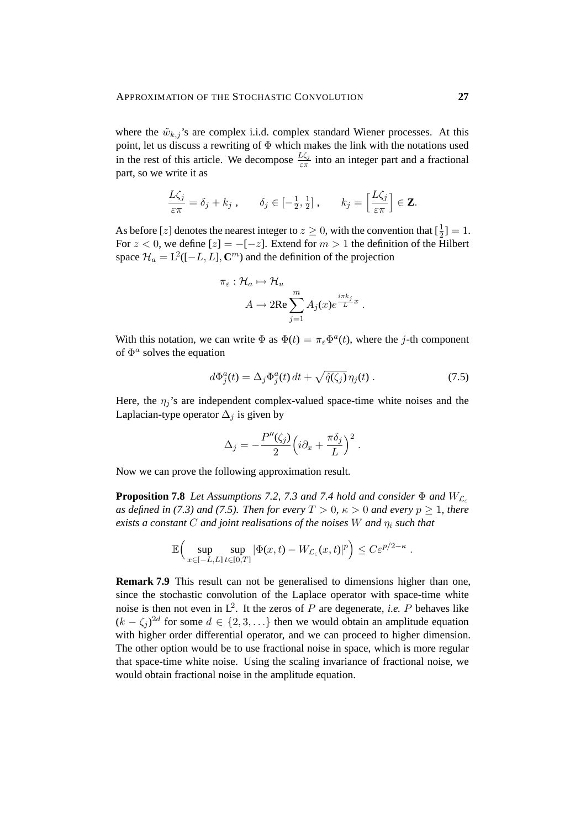where the  $\tilde{w}_{k,j}$ 's are complex i.i.d. complex standard Wiener processes. At this point, let us discuss a rewriting of  $\Phi$  which makes the link with the notations used in the rest of this article. We decompose  $\frac{L\zeta_j}{\varepsilon\pi}$  into an integer part and a fractional part, so we write it as

$$
\frac{L\zeta_j}{\varepsilon\pi} = \delta_j + k_j \;, \qquad \delta_j \in \left[-\frac{1}{2},\frac{1}{2}\right] \;, \qquad k_j = \left[\frac{L\zeta_j}{\varepsilon\pi}\right] \in \mathbf{Z}.
$$

As before [z] denotes the nearest integer to  $z \ge 0$ , with the convention that  $[\frac{1}{2}] = 1$ . For  $z < 0$ , we define  $[z] = -[-z]$ . Extend for  $m > 1$  the definition of the Hilbert space  $\mathcal{H}_a = L^2([-L, L], \mathbb{C}^m)$  and the definition of the projection

$$
\pi_{\varepsilon} : \mathcal{H}_a \mapsto \mathcal{H}_u
$$

$$
A \to 2\text{Re} \sum_{j=1}^m A_j(x) e^{\frac{i\pi k_j}{L}x}
$$

With this notation, we can write  $\Phi$  as  $\Phi(t) = \pi_{\varepsilon} \Phi^a(t)$ , where the j-th component of  $\Phi^a$  solves the equation

$$
d\Phi_j^a(t) = \Delta_j \Phi_j^a(t) dt + \sqrt{\hat{q}(\zeta_j)} \eta_j(t) . \qquad (7.5)
$$

.

.

Here, the  $\eta_j$ 's are independent complex-valued space-time white noises and the Laplacian-type operator  $\Delta_i$  is given by

$$
\Delta_j = -\frac{P''(\zeta_j)}{2} \Big(i\partial_x + \frac{\pi \delta_j}{L}\Big)^2.
$$

Now we can prove the following approximation result.

**Proposition 7.8** *Let Assumptions 7.2, 7.3 and 7.4 hold and consider*  $\Phi$  *and*  $W_{\mathcal{L}_{\mathcal{L}}}$ *as defined in (7.3) and (7.5). Then for every*  $T > 0$ ,  $\kappa > 0$  *and every*  $p \ge 1$ *, there exists a constant* C *and joint realisations of the noises* W *and* η<sup>i</sup> *such that*

$$
\mathbb{E}\Big(\sup_{x\in[-L,L]}\sup_{t\in[0,T]}|\Phi(x,t)-W_{\mathcal{L}_{\varepsilon}}(x,t)|^p\Big)\leq C\varepsilon^{p/2-\kappa}
$$

**Remark 7.9** This result can not be generalised to dimensions higher than one, since the stochastic convolution of the Laplace operator with space-time white noise is then not even in  $L^2$ . It the zeros of P are degenerate, *i.e.* P behaves like  $(k - \zeta_j)^{2d}$  for some  $d \in \{2, 3, \ldots\}$  then we would obtain an amplitude equation with higher order differential operator, and we can proceed to higher dimension. The other option would be to use fractional noise in space, which is more regular that space-time white noise. Using the scaling invariance of fractional noise, we would obtain fractional noise in the amplitude equation.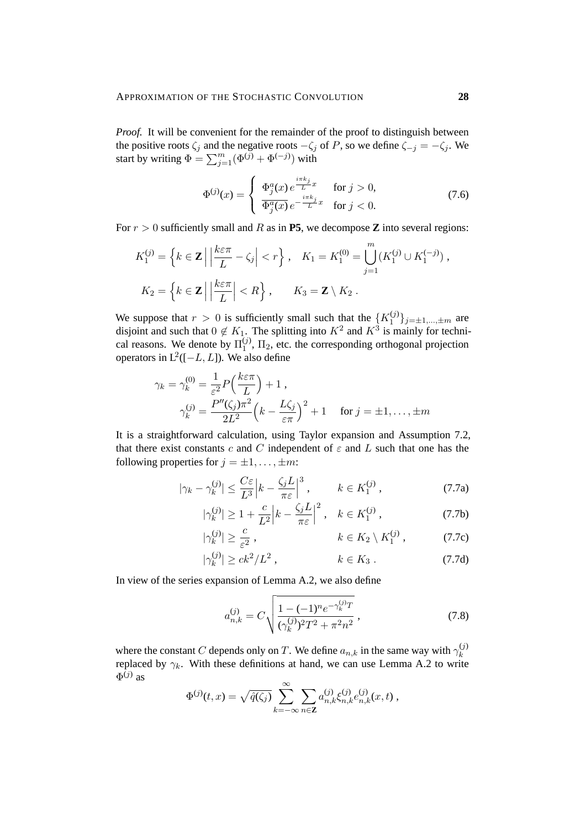*Proof.* It will be convenient for the remainder of the proof to distinguish between the positive roots  $\zeta_j$  and the negative roots  $-\zeta_j$  of P, so we define  $\zeta_{-j} = -\zeta_j$ . We start by writing  $\Phi = \sum_{j=1}^{m} (\Phi^{(j)} + \Phi^{(-j)})$  with

$$
\Phi^{(j)}(x) = \begin{cases} \Phi_j^a(x) e^{\frac{i\pi k_j}{L}x} & \text{for } j > 0, \\ \overline{\Phi_j^a(x)} e^{-\frac{i\pi k_j}{L}x} & \text{for } j < 0. \end{cases}
$$
\n(7.6)

For  $r > 0$  sufficiently small and R as in **P5**, we decompose **Z** into several regions:

$$
K_1^{(j)} = \left\{ k \in \mathbf{Z} \mid \left| \frac{k \varepsilon \pi}{L} - \zeta_j \right| < r \right\}, \quad K_1 = K_1^{(0)} = \bigcup_{j=1}^m (K_1^{(j)} \cup K_1^{(-j)}),
$$
\n
$$
K_2 = \left\{ k \in \mathbf{Z} \mid \left| \frac{k \varepsilon \pi}{L} \right| < R \right\}, \qquad K_3 = \mathbf{Z} \setminus K_2 \,.
$$

We suppose that  $r > 0$  is sufficiently small such that the  $\{K_1^{(j)}\}$  $\{y_i^{(j)}\}_{j=\pm 1,\dots,\pm m}$  are disjoint and such that  $0 \notin K_1$ . The splitting into  $K^2$  and  $K^3$  is mainly for technical reasons. We denote by  $\Pi_1^{(j)}$  $1<sup>(1)</sup>$ ,  $\Pi_2$ , etc. the corresponding orthogonal projection operators in  $L^2([-L, L])$ . We also define

$$
\gamma_k = \gamma_k^{(0)} = \frac{1}{\varepsilon^2} P\left(\frac{k\varepsilon\pi}{L}\right) + 1,
$$
  

$$
\gamma_k^{(j)} = \frac{P''(\zeta_j)\pi^2}{2L^2} \left(k - \frac{L\zeta_j}{\varepsilon\pi}\right)^2 + 1 \quad \text{for } j = \pm 1, ..., \pm m
$$

It is a straightforward calculation, using Taylor expansion and Assumption 7.2, that there exist constants c and C independent of  $\varepsilon$  and L such that one has the following properties for  $j = \pm 1, \ldots, \pm m$ :

$$
|\gamma_k - \gamma_k^{(j)}| \le \frac{C\varepsilon}{L^3} \Big| k - \frac{\zeta_j L}{\pi \varepsilon} \Big|^3 \,, \qquad k \in K_1^{(j)} \,, \tag{7.7a}
$$

$$
|\gamma_k^{(j)}| \ge 1 + \frac{c}{L^2} \left| k - \frac{\zeta_j L}{\pi \varepsilon} \right|^2, \quad k \in K_1^{(j)}\,,\tag{7.7b}
$$

$$
|\gamma_k^{(j)}| \ge \frac{c}{\varepsilon^2}, \qquad k \in K_2 \setminus K_1^{(j)}, \qquad (7.7c)
$$

$$
|\gamma_k^{(j)}| \ge ck^2/L^2 , \qquad k \in K_3 . \tag{7.7d}
$$

In view of the series expansion of Lemma A.2, we also define

$$
a_{n,k}^{(j)} = C \sqrt{\frac{1 - (-1)^n e^{-\gamma_k^{(j)}} T}{(\gamma_k^{(j)})^2 T^2 + \pi^2 n^2}},
$$
\n(7.8)

where the constant C depends only on T. We define  $a_{n,k}$  in the same way with  $\gamma_k^{(j)}$ k replaced by  $\gamma_k$ . With these definitions at hand, we can use Lemma A.2 to write  $\Phi^{(j)}$  as

$$
\Phi^{(j)}(t,x) = \sqrt{\hat{q}(\zeta_j)} \sum_{k=-\infty}^{\infty} \sum_{n \in \mathbf{Z}} a_{n,k}^{(j)} \xi_{n,k}^{(j)} e_{n,k}^{(j)}(x,t) ,
$$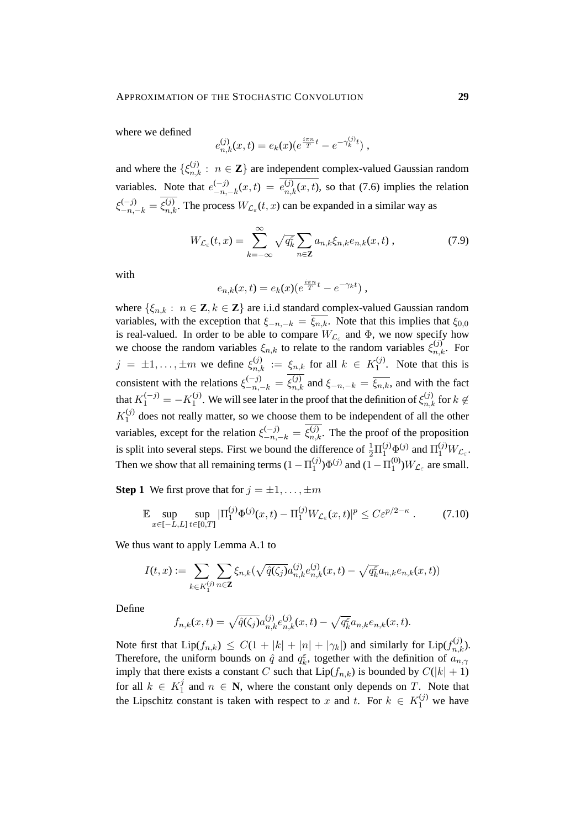where we defined

$$
e_{n,k}^{(j)}(x,t) = e_k(x) \left(e^{\frac{i\pi n}{T}t} - e^{-\gamma_k^{(j)}t}\right),
$$

and where the  $\{\xi_{n,k}^{(j)} : n \in \mathbb{Z}\}\$  are independent complex-valued Gaussian random variables. Note that  $e_{-n}^{(-j)}$  $\binom{(-j)}{-n,-k}(x,t) = e^{(j)}_{n,k}(x,t)$ , so that (7.6) implies the relation  $\xi_{-n,-k}^{(-j)} = \xi_{n,k}^{(j)}$ . The process  $W_{\mathcal{L}_{\varepsilon}}(t,x)$  can be expanded in a similar way as

$$
W_{\mathcal{L}_{\varepsilon}}(t,x) = \sum_{k=-\infty}^{\infty} \sqrt{q_k^{\varepsilon}} \sum_{n \in \mathbf{Z}} a_{n,k} \xi_{n,k} e_{n,k}(x,t) , \qquad (7.9)
$$

with

$$
e_{n,k}(x,t) = e_k(x) \left(e^{\frac{i\pi n}{T}t} - e^{-\gamma_k t}\right),
$$

where  $\{\xi_{n,k} : n \in \mathbb{Z}, k \in \mathbb{Z}\}\$  are i.i.d standard complex-valued Gaussian random variables, with the exception that  $\xi_{-n,-k} = \overline{\xi_{n,k}}$ . Note that this implies that  $\xi_{0,0}$ is real-valued. In order to be able to compare  $W_{\mathcal{L}_{\varepsilon}}$  and  $\Phi$ , we now specify how we choose the random variables  $\xi_{n,k}$  to relate to the random variables  $\xi_{n,k}^{(j)}$ . For  $j = \pm 1, \ldots, \pm m$  we define  $\xi_{n,k}^{(j)} := \xi_{n,k}$  for all  $k \in K_1^{(j)}$  $1^{(1)}$ . Note that this is consistent with the relations  $\xi_{-n,-k}^{(-j)} = \xi_{n,k}^{(j)}$  and  $\xi_{-n,-k} = \overline{\xi_{n,k}}$ , and with the fact that  $K_1^{(-j)} = -K_1^{(j)}$ <sup>(j)</sup>. We will see later in the proof that the definition of  $\xi_{n,k}^{(j)}$  for  $k \notin$  $K_1^{(j)}$  $1<sup>(j)</sup>$  does not really matter, so we choose them to be independent of all the other variables, except for the relation  $\xi_{-n,-k}^{(-j)} = \xi_{n,k}^{(j)}$ . The the proof of the proposition is split into several steps. First we bound the difference of  $\frac{1}{2}\Pi_1^{(j)}\Phi^{(j)}$  and  $\Pi_1^{(j)}W_{\mathcal{L}_{\varepsilon}}$ . Then we show that all remaining terms  $(1 - \Pi_1^{(j)})$  $\Phi_1^{(j)}$ ) $\Phi_2^{(j)}$  and  $(1 - \Pi_1^{(0)}$  $_{1}^{(0)}$ ) $W_{\mathcal{L}_{\varepsilon}}$  are small.

**Step 1** We first prove that for  $j = \pm 1, \ldots, \pm m$ 

$$
\mathbb{E}\sup_{x\in[-L,L]}\sup_{t\in[0,T]}\left|\Pi_1^{(j)}\Phi^{(j)}(x,t)-\Pi_1^{(j)}W_{\mathcal{L}_{\varepsilon}}(x,t)\right|^p\leq C\varepsilon^{p/2-\kappa}.
$$
 (7.10)

We thus want to apply Lemma A.1 to

$$
I(t,x) := \sum_{k \in K_1^{(j)}} \sum_{n \in \mathbf{Z}} \xi_{n,k} (\sqrt{\hat{q}(\zeta_j)} a_{n,k}^{(j)} e_{n,k}^{(j)}(x,t) - \sqrt{q_k^{\varepsilon}} a_{n,k} e_{n,k}(x,t))
$$

Define

$$
f_{n,k}(x,t) = \sqrt{\hat{q}(\zeta_j)} a_{n,k}^{(j)} e_{n,k}^{(j)}(x,t) - \sqrt{q_k^{\varepsilon}} a_{n,k} e_{n,k}(x,t).
$$

Note first that  $\text{Lip}(f_{n,k}) \leq C(1+|k|+|n|+|\gamma_k|)$  and similarly for  $\text{Lip}(f_{n,k}^{(j)})$ . Therefore, the uniform bounds on  $\hat{q}$  and  $q_k^{\varepsilon}$ , together with the definition of  $a_{n,\gamma}$ imply that there exists a constant C such that  $Lip(f_{n,k})$  is bounded by  $C(|k|+1)$ for all  $k \in K_1^j$  $\mathcal{I}_1^j$  and  $n \in \mathbb{N}$ , where the constant only depends on T. Note that the Lipschitz constant is taken with respect to x and t. For  $k \in K_1^{(j)}$  we have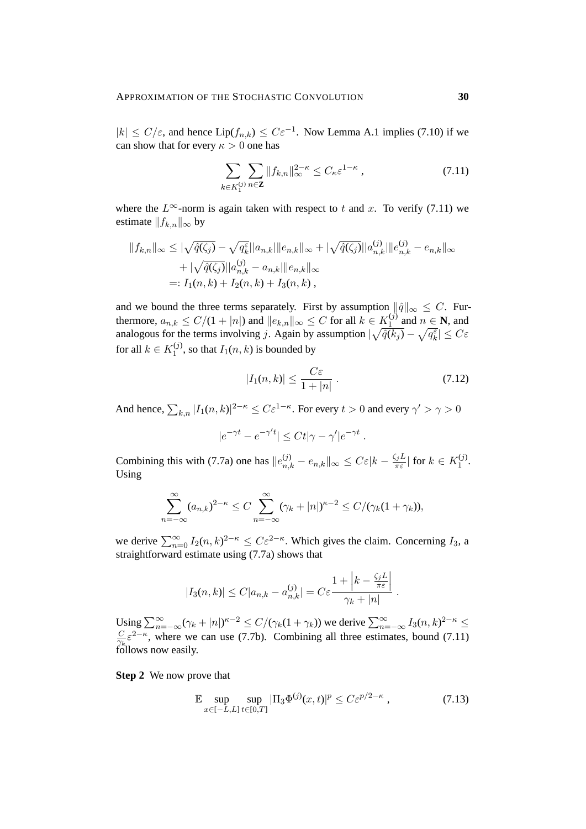$|k| \le C/\varepsilon$ , and hence Lip( $f_{n,k}$ )  $\le C\varepsilon^{-1}$ . Now Lemma A.1 implies (7.10) if we can show that for every  $\kappa > 0$  one has

$$
\sum_{k \in K_1^{(j)}} \sum_{n \in \mathbf{Z}} \|f_{k,n}\|_{\infty}^{2-\kappa} \le C_{\kappa} \varepsilon^{1-\kappa} ,\qquad(7.11)
$$

where the  $L^{\infty}$ -norm is again taken with respect to t and x. To verify (7.11) we estimate  $||f_{k,n}||_{\infty}$  by

$$
||f_{k,n}||_{\infty} \leq |\sqrt{\hat{q}(\zeta_j)} - \sqrt{q_k^{\varepsilon}}||a_{n,k}||e_{n,k}||_{\infty} + |\sqrt{\hat{q}(\zeta_j)}||a_{n,k}^{(j)}||e_{n,k}^{(j)} - e_{n,k}||_{\infty}
$$
  
+  $|\sqrt{\hat{q}(\zeta_j)}||a_{n,k}^{(j)} - a_{n,k}||e_{n,k}||_{\infty}$   
=:  $I_1(n,k) + I_2(n,k) + I_3(n,k)$ ,

and we bound the three terms separately. First by assumption  $\|\hat{q}\|_{\infty} \leq C$ . Furthermore,  $a_{n,k} \leq C/(1+|n|)$  and  $||e_{k,n}||_{\infty} \leq C$  for all  $k \in K_1^{(j)}$  $\frac{1}{1}$  and  $n \in \mathbb{N}$ , and analogous for the terms involving j. Again by assumption  $|\sqrt{\hat{q}(k_j)} - \sqrt{q_k^{\varepsilon}}| \le C\varepsilon$ for all  $k \in K_1^{(j)}$  $1^{(9)}$ , so that  $I_1(n, k)$  is bounded by

$$
|I_1(n,k)| \le \frac{C\varepsilon}{1+|n|} \,. \tag{7.12}
$$

.

And hence,  $\sum_{k,n} |I_1(n,k)|^{2-\kappa} \leq C \varepsilon^{1-\kappa}$ . For every  $t > 0$  and every  $\gamma' > \gamma > 0$ 

$$
|e^{-\gamma t}-e^{-\gamma' t}| \leq Ct|\gamma-\gamma'|e^{-\gamma t}.
$$

Combining this with (7.7a) one has  $||e_{n,k}^{(j)} - e_{n,k}||_{\infty} \leq C \varepsilon |k - \frac{\zeta_j L}{\pi \varepsilon}$  $\frac{\zeta_j L}{\pi \varepsilon}$  for  $k \in K_1^{(j)}$  $\frac{(1)}{1}$ . Using

$$
\sum_{n=-\infty}^{\infty} (a_{n,k})^{2-\kappa} \le C \sum_{n=-\infty}^{\infty} (\gamma_k + |n|)^{\kappa-2} \le C/(\gamma_k(1+\gamma_k)),
$$

we derive  $\sum_{n=0}^{\infty} I_2(n,k)^{2-\kappa} \leq C \varepsilon^{2-\kappa}$ . Which gives the claim. Concerning  $I_3$ , a straightforward estimate using (7.7a) shows that

$$
|I_3(n,k)| \le C|a_{n,k} - a_{n,k}^{(j)}| = C\varepsilon \frac{1 + \left|k - \frac{\zeta_j L}{\pi\varepsilon}\right|}{\gamma_k + |n|}
$$

Using  $\sum_{n=-\infty}^{\infty} (\gamma_k + |n|)^{\kappa-2} \le C/(\gamma_k(1+\gamma_k))$  we derive  $\sum_{n=-\infty}^{\infty} I_3(n,k)^{2-\kappa} \le$  $\overline{C}$  $\frac{C}{\gamma_k} \varepsilon^{2-\kappa}$ , where we can use (7.7b). Combining all three estimates, bound (7.11) follows now easily.

**Step 2** We now prove that

$$
\mathbb{E}\sup_{x\in[-L,L]}\sup_{t\in[0,T]}\left|\Pi_3\Phi^{(j)}(x,t)\right|^p\leq C\varepsilon^{p/2-\kappa},\tag{7.13}
$$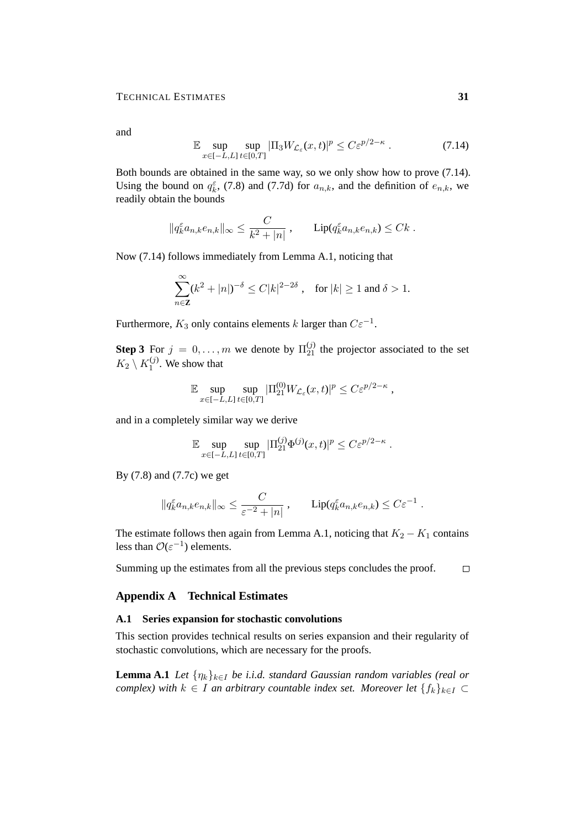and

$$
\mathbb{E} \sup_{x \in [-L, L]} \sup_{t \in [0, T]} |\Pi_3 W_{\mathcal{L}_\varepsilon}(x, t)|^p \le C \varepsilon^{p/2 - \kappa} \,. \tag{7.14}
$$

Both bounds are obtained in the same way, so we only show how to prove (7.14). Using the bound on  $q_k^{\varepsilon}$ , (7.8) and (7.7d) for  $a_{n,k}$ , and the definition of  $e_{n,k}$ , we readily obtain the bounds

$$
\|q_k^{\varepsilon} a_{n,k} e_{n,k}\|_{\infty} \leq \frac{C}{k^2 + |n|}, \qquad \text{Lip}(q_k^{\varepsilon} a_{n,k} e_{n,k}) \leq Ck.
$$

Now (7.14) follows immediately from Lemma A.1, noticing that

$$
\sum_{n\in\mathbf{Z}}^{\infty} (k^2+|n|)^{-\delta}\leq C|k|^{2-2\delta}\,,\quad \text{for } |k|\geq 1 \text{ and } \delta>1.
$$

Furthermore,  $K_3$  only contains elements k larger than  $C\varepsilon^{-1}$ .

**Step 3** For  $j = 0, ..., m$  we denote by  $\Pi_{21}^{(j)}$  the projector associated to the set  $K_2 \setminus K_1^{(j)}$  $1^{(1)}$ . We show that

$$
\mathbb{E} \sup_{x \in [-L,L]} \sup_{t \in [0,T]} |\Pi_{21}^{(0)} W_{\mathcal{L}_{\varepsilon}}(x,t)|^p \leq C \varepsilon^{p/2 - \kappa} ,
$$

and in a completely similar way we derive

$$
\mathbb{E}\sup_{x\in[-L,L]}\sup_{t\in[0,T]}|\Pi_{21}^{(j)}\Phi^{(j)}(x,t)|^p\leq C\varepsilon^{p/2-\kappa}.
$$

By (7.8) and (7.7c) we get

$$
||q_k^{\varepsilon} a_{n,k} e_{n,k}||_{\infty} \leq \frac{C}{\varepsilon^{-2} + |n|} , \qquad \text{Lip}(q_k^{\varepsilon} a_{n,k} e_{n,k}) \leq C \varepsilon^{-1} .
$$

The estimate follows then again from Lemma A.1, noticing that  $K_2 - K_1$  contains less than  $\mathcal{O}(\varepsilon^{-1})$  elements.

Summing up the estimates from all the previous steps concludes the proof.  $\Box$ 

### **Appendix A Technical Estimates**

## **A.1 Series expansion for stochastic convolutions**

This section provides technical results on series expansion and their regularity of stochastic convolutions, which are necessary for the proofs.

**Lemma A.1** *Let*  $\{\eta_k\}_{k\in I}$  *be i.i.d. standard Gaussian random variables (real or complex) with*  $k \in I$  *an arbitrary countable index set. Moreover let*  $\{f_k\}_{k \in I}$  ⊂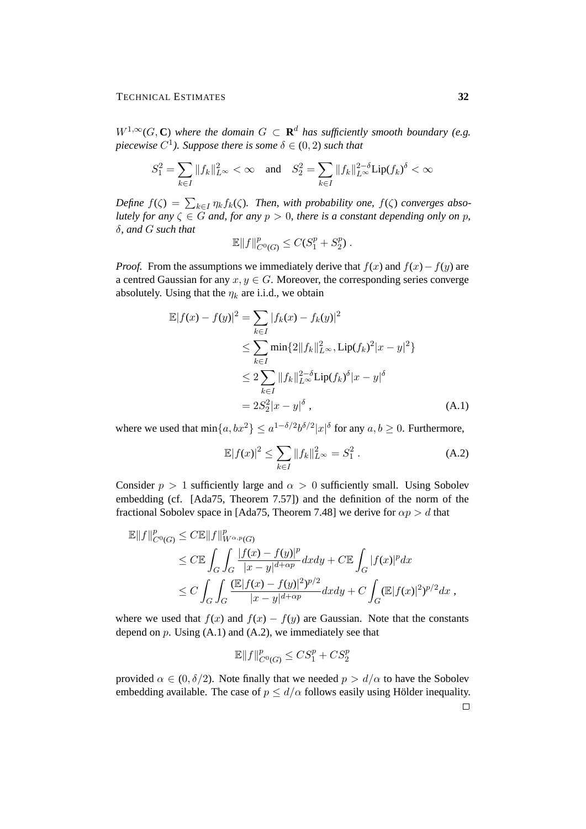$W^{1,\infty}(G,\mathbb{C})$  where the domain  $G \subset \mathbb{R}^d$  has sufficiently smooth boundary (e.g. *piecewise*  $C^1$ ). Suppose there is some  $\delta \in (0, 2)$  such that

$$
S_1^2=\sum_{k\in I}\|f_k\|_{L^\infty}^2<\infty\quad\text{and}\quad S_2^2=\sum_{k\in I}\|f_k\|_{L^\infty}^{2-\delta}{\rm Lip}(f_k)^\delta<\infty
$$

Define  $f(\zeta) = \sum_{k \in I} \eta_k f_k(\zeta)$ . Then, with probability one,  $f(\zeta)$  converges abso*lutely for any*  $\zeta \in G$  *and, for any*  $p > 0$ *, there is a constant depending only on* p*,* δ*, and* G *such that*

$$
\mathbb{E}||f||_{C^{0}(G)}^{p} \leq C(S_{1}^{p}+S_{2}^{p}).
$$

*Proof.* From the assumptions we immediately derive that  $f(x)$  and  $f(x) - f(y)$  are a centred Gaussian for any  $x, y \in G$ . Moreover, the corresponding series converge absolutely. Using that the  $\eta_k$  are i.i.d., we obtain

$$
\mathbb{E}|f(x) - f(y)|^2 = \sum_{k \in I} |f_k(x) - f_k(y)|^2
$$
  
\n
$$
\leq \sum_{k \in I} \min\{2\|f_k\|_{L^{\infty}}^2, \text{Lip}(f_k)^2 |x - y|^2\}
$$
  
\n
$$
\leq 2 \sum_{k \in I} \|f_k\|_{L^{\infty}}^{2-\delta} \text{Lip}(f_k)^{\delta} |x - y|^{\delta}
$$
  
\n
$$
= 2S_2^2 |x - y|^{\delta}, \tag{A.1}
$$

where we used that  $\min\{a, bx^2\} \leq a^{1-\delta/2} b^{\delta/2} |x|^{\delta}$  for any  $a, b \geq 0$ . Furthermore,

$$
\mathbb{E}|f(x)|^2 \le \sum_{k \in I} \|f_k\|_{L^\infty}^2 = S_1^2.
$$
 (A.2)

Consider  $p > 1$  sufficiently large and  $\alpha > 0$  sufficiently small. Using Sobolev embedding (cf. [Ada75, Theorem 7.57]) and the definition of the norm of the fractional Sobolev space in [Ada75, Theorem 7.48] we derive for  $\alpha p > d$  that

$$
\mathbb{E}||f||_{C^{0}(G)}^{p} \leq C\mathbb{E}||f||_{W^{\alpha,p}(G)}^{p}
$$
\n
$$
\leq C\mathbb{E}\int_{G}\int_{G}\frac{|f(x)-f(y)|^{p}}{|x-y|^{d+\alpha p}}dxdy + C\mathbb{E}\int_{G}|f(x)|^{p}dx
$$
\n
$$
\leq C\int_{G}\int_{G}\frac{(\mathbb{E}|f(x)-f(y)|^{2})^{p/2}}{|x-y|^{d+\alpha p}}dxdy + C\int_{G}(\mathbb{E}|f(x)|^{2})^{p/2}dx,
$$

where we used that  $f(x)$  and  $f(x) - f(y)$  are Gaussian. Note that the constants depend on  $p$ . Using  $(A.1)$  and  $(A.2)$ , we immediately see that

$$
\mathbb{E}||f||_{C^0(G)}^p \leq CS_1^p + CS_2^p
$$

provided  $\alpha \in (0, \delta/2)$ . Note finally that we needed  $p > d/\alpha$  to have the Sobolev embedding available. The case of  $p \le d/\alpha$  follows easily using Hölder inequality.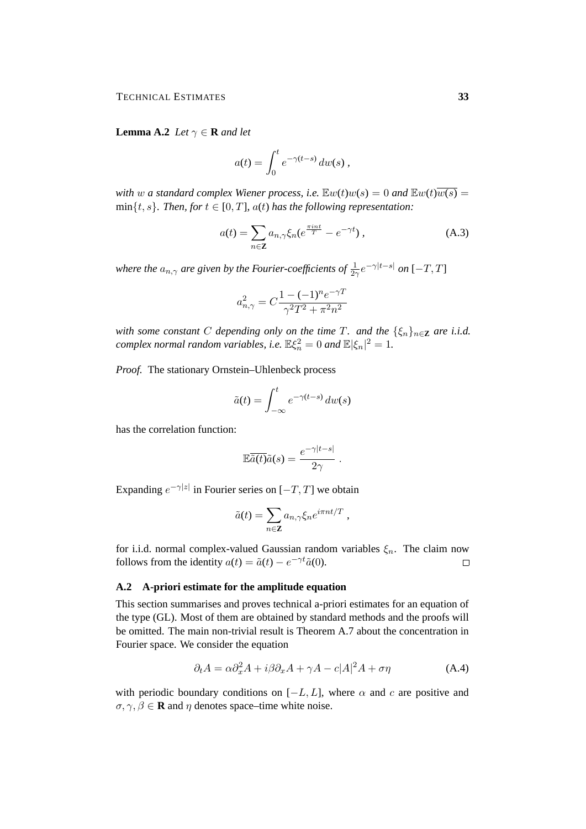**Lemma A.2** *Let*  $\gamma \in \mathbf{R}$  *and let* 

$$
a(t) = \int_0^t e^{-\gamma(t-s)} dw(s) ,
$$

*with* w *a standard complex Wiener process, i.e.*  $\mathbb{E}w(t)w(s) = 0$  *and*  $\mathbb{E}w(t)\overline{w(s)} = 0$  $min{t, s}$ *. Then, for*  $t \in [0, T]$ *, a(t) has the following representation:* 

$$
a(t) = \sum_{n \in \mathbf{Z}} a_{n,\gamma} \xi_n (e^{\frac{\pi i n t}{T}} - e^{-\gamma t}), \qquad (A.3)
$$

where the  $a_{n,\gamma}$  are given by the Fourier-coefficients of  $\frac{1}{2\gamma}e^{-\gamma|t-s|}$  on  $[-T,T]$ 

$$
a_{n,\gamma}^2 = C \frac{1 - (-1)^n e^{-\gamma T}}{\gamma^2 T^2 + \pi^2 n^2}
$$

*with some constant* C *depending only on the time* T*. and the*  $\{\xi_n\}_{n\in\mathbb{Z}}$  *are i.i.d. complex normal random variables, i.e.*  $\mathbb{E}\xi_n^2 = 0$  *and*  $\mathbb{E}|\xi_n|^2 = 1$ *.* 

*Proof.* The stationary Ornstein–Uhlenbeck process

$$
\tilde{a}(t) = \int_{-\infty}^{t} e^{-\gamma(t-s)} dw(s)
$$

has the correlation function:

$$
\mathbb{E}\overline{\tilde{a}(t)}\tilde{a}(s) = \frac{e^{-\gamma|t-s|}}{2\gamma}.
$$

Expanding  $e^{-\gamma|z|}$  in Fourier series on  $[-T, T]$  we obtain

$$
\tilde{a}(t) = \sum_{n \in \mathbf{Z}} a_{n,\gamma} \xi_n e^{i\pi nt/T} ,
$$

for i.i.d. normal complex-valued Gaussian random variables  $\xi_n$ . The claim now follows from the identity  $a(t) = \tilde{a}(t) - e^{-\gamma t} \tilde{a}(0)$ .  $\Box$ 

#### **A.2 A-priori estimate for the amplitude equation**

This section summarises and proves technical a-priori estimates for an equation of the type (GL). Most of them are obtained by standard methods and the proofs will be omitted. The main non-trivial result is Theorem A.7 about the concentration in Fourier space. We consider the equation

$$
\partial_t A = \alpha \partial_x^2 A + i\beta \partial_x A + \gamma A - c|A|^2 A + \sigma \eta \tag{A.4}
$$

with periodic boundary conditions on  $[-L, L]$ , where  $\alpha$  and c are positive and  $\sigma, \gamma, \beta \in \mathbf{R}$  and  $\eta$  denotes space–time white noise.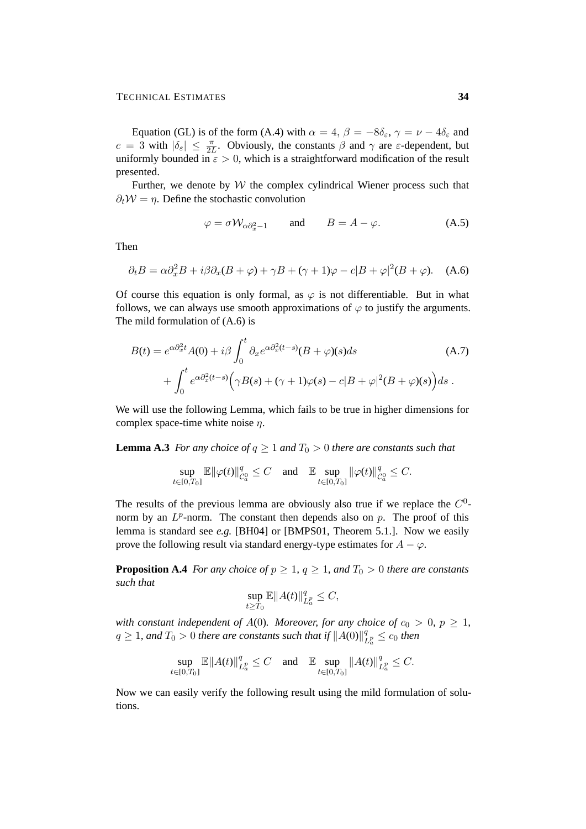Equation (GL) is of the form (A.4) with  $\alpha = 4$ ,  $\beta = -8\delta_{\epsilon}$ ,  $\gamma = \nu - 4\delta_{\epsilon}$  and  $c = 3$  with  $|\delta_{\varepsilon}| \leq \frac{\pi}{2L}$ . Obviously, the constants  $\beta$  and  $\gamma$  are  $\varepsilon$ -dependent, but uniformly bounded in  $\epsilon > 0$ , which is a straightforward modification of the result presented.

Further, we denote by  $W$  the complex cylindrical Wiener process such that  $\partial_t \mathcal{W} = \eta$ . Define the stochastic convolution

$$
\varphi = \sigma \mathcal{W}_{\alpha \partial_x^2 - 1} \qquad \text{and} \qquad B = A - \varphi. \tag{A.5}
$$

Then

$$
\partial_t B = \alpha \partial_x^2 B + i\beta \partial_x (B + \varphi) + \gamma B + (\gamma + 1)\varphi - c|B + \varphi|^2 (B + \varphi). \quad (A.6)
$$

Of course this equation is only formal, as  $\varphi$  is not differentiable. But in what follows, we can always use smooth approximations of  $\varphi$  to justify the arguments. The mild formulation of (A.6) is

$$
B(t) = e^{\alpha \partial_x^2 t} A(0) + i\beta \int_0^t \partial_x e^{\alpha \partial_x^2 (t-s)} (B + \varphi)(s) ds
$$
\n
$$
+ \int_0^t e^{\alpha \partial_x^2 (t-s)} \Big( \gamma B(s) + (\gamma + 1)\varphi(s) - c|B + \varphi|^2 (B + \varphi)(s) \Big) ds.
$$
\n(A.7)

We will use the following Lemma, which fails to be true in higher dimensions for complex space-time white noise  $\eta$ .

**Lemma A.3** *For any choice of*  $q \geq 1$  *and*  $T_0 > 0$  *there are constants such that* 

$$
\sup_{t\in[0,T_0]}\mathbb{E}\|\varphi(t)\|_{\mathcal{C}_a^0}^q\leq C\quad\text{and}\quad\mathbb{E}\sup_{t\in[0,T_0]}\|\varphi(t)\|_{\mathcal{C}_a^0}^q\leq C.
$$

The results of the previous lemma are obviously also true if we replace the  $C^0$ norm by an  $L^p$ -norm. The constant then depends also on  $p$ . The proof of this lemma is standard see *e.g.* [BH04] or [BMPS01, Theorem 5.1.]. Now we easily prove the following result via standard energy-type estimates for  $A - \varphi$ .

**Proposition A.4** *For any choice of*  $p \geq 1$ ,  $q \geq 1$ , and  $T_0 > 0$  *there are constants such that*

$$
\sup_{t\geq T_0}\mathbb{E}||A(t)||_{L^p_a}^q\leq C,
$$

*with constant independent of A(0). Moreover, for any choice of*  $c_0 > 0$ ,  $p \ge 1$ ,  $q \geq 1$ , and  $T_0 > 0$  there are constants such that if  $||A(0)||_q^q$  $\frac{q}{L_a^p} \leq c_0$  then

$$
\sup_{t\in[0,T_0]}\mathbb{E}\|A(t)\|_{L^p_a}^q\leq C \quad \text{and} \quad \mathbb{E}\sup_{t\in[0,T_0]}\|A(t)\|_{L^p_a}^q\leq C.
$$

Now we can easily verify the following result using the mild formulation of solutions.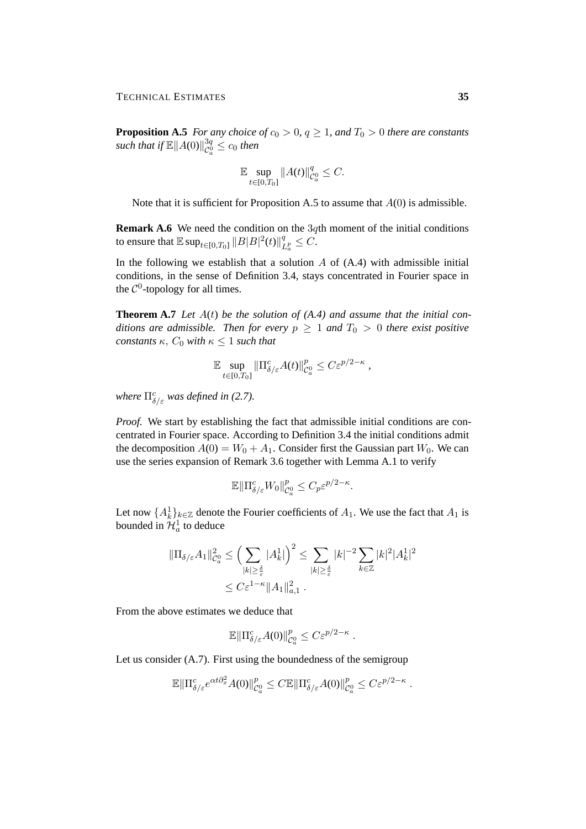**Proposition A.5** *For any choice of*  $c_0 > 0$ ,  $q \ge 1$ , and  $T_0 > 0$  *there are constants such that if*  $\mathbb{E} \|A(0)\|_{\infty}^{3q}$  $\frac{\partial q}{\partial a} \leq c_0$  then

$$
\mathbb{E}\sup_{t\in[0,T_0]}\|A(t)\|_{\mathcal{C}_a^0}^q\leq C.
$$

Note that it is sufficient for Proposition A.5 to assume that  $A(0)$  is admissible.

**Remark A.6** We need the condition on the 3qth moment of the initial conditions to ensure that  $\mathbb{E}\sup_{t\in[0,T_0]}\|B|B|^2(t)\|_I^q$  $\frac{q}{L_a^p} \leq C.$ 

In the following we establish that a solution  $A$  of  $(A.4)$  with admissible initial conditions, in the sense of Definition 3.4, stays concentrated in Fourier space in the  $C^0$ -topology for all times.

**Theorem A.7** *Let* A(t) *be the solution of (A.4) and assume that the initial conditions are admissible. Then for every*  $p \geq 1$  *and*  $T_0 > 0$  *there exist positive constants*  $\kappa$ *, C*<sub>0</sub> *with*  $\kappa \leq 1$  *such that* 

$$
\mathbb{E} \sup_{t \in [0,T_0]} \|\Pi_{\delta/\varepsilon}^c A(t)\|_{\mathcal{C}_a^0}^p \leq C \varepsilon^{p/2-\kappa} \,,
$$

*where*  $\Pi_{\delta/\varepsilon}^c$  *was defined in (2.7).* 

*Proof.* We start by establishing the fact that admissible initial conditions are concentrated in Fourier space. According to Definition 3.4 the initial conditions admit the decomposition  $A(0) = W_0 + A_1$ . Consider first the Gaussian part  $W_0$ . We can use the series expansion of Remark 3.6 together with Lemma A.1 to verify

$$
\mathbb{E}\|\Pi_{\delta/\varepsilon}^c W_0\|_{\mathcal{C}_a^0}^p \le C_p \varepsilon^{p/2-\kappa}.
$$

Let now  $\{A_k^1\}_{k\in\mathbb{Z}}$  denote the Fourier coefficients of  $A_1$ . We use the fact that  $A_1$  is bounded in  $\mathcal{H}_a^1$  to deduce

$$
\|\Pi_{\delta/\varepsilon} A_1\|_{\mathcal{C}_a^0}^2 \le \left(\sum_{|k|\ge \frac{\delta}{\varepsilon}} |A_k^1|\right)^2 \le \sum_{|k|\ge \frac{\delta}{\varepsilon}} |k|^{-2} \sum_{k\in\mathbb{Z}} |k|^2 |A_k^1|^2
$$
  

$$
\le C\varepsilon^{1-\kappa} \|A_1\|_{a,1}^2.
$$

From the above estimates we deduce that

$$
\mathbb{E}\|\Pi_{\delta/\varepsilon}^c A(0)\|_{\mathcal{C}_a^0}^p \leq C\varepsilon^{p/2-\kappa}.
$$

Let us consider (A.7). First using the boundedness of the semigroup

$$
\mathbb{E}\|\Pi_{\delta/\varepsilon}^c e^{\alpha t \partial_x^2} A(0)\|_{\mathcal{C}_\alpha^0}^p \leq C \mathbb{E}\|\Pi_{\delta/\varepsilon}^c A(0)\|_{\mathcal{C}_\alpha^0}^p \leq C \varepsilon^{p/2-\kappa}
$$

.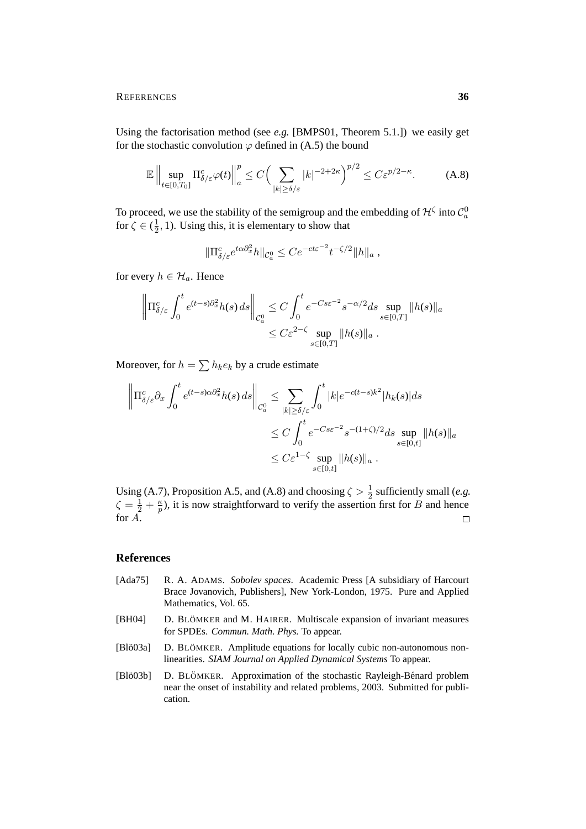Using the factorisation method (see *e.g.* [BMPS01, Theorem 5.1.]) we easily get for the stochastic convolution  $\varphi$  defined in (A.5) the bound

$$
\mathbb{E}\left\|\sup_{t\in[0,T_0]} \Pi_{\delta/\varepsilon}^c \varphi(t)\right\|_a^p \le C\Big(\sum_{|k|\ge \delta/\varepsilon} |k|^{-2+2\kappa}\Big)^{p/2} \le C\varepsilon^{p/2-\kappa}.\tag{A.8}
$$

To proceed, we use the stability of the semigroup and the embedding of  $\mathcal{H}^{\zeta}$  into  $\mathcal{C}^0_a$ for  $\zeta \in (\frac{1}{2})$  $\frac{1}{2}$ , 1). Using this, it is elementary to show that

$$
\|\Pi_{\delta/\varepsilon}^c e^{t\alpha\partial_x^2}h\|_{\mathcal{C}_a^0} \leq Ce^{-ct\varepsilon^{-2}}t^{-\zeta/2}\|h\|_a,
$$

for every  $h \in \mathcal{H}_a$ . Hence

$$
\left\|\Pi_{\delta/\varepsilon}^c \int_0^t e^{(t-s)\partial_x^2} h(s) \, ds\right\|_{\mathcal{C}_a^0} \le C \int_0^t e^{-Cs\varepsilon^{-2}} s^{-\alpha/2} ds \sup_{s \in [0,T]} \|h(s)\|_a
$$
  

$$
\le C\varepsilon^{2-\zeta} \sup_{s \in [0,T]} \|h(s)\|_a.
$$

Moreover, for  $h = \sum h_k e_k$  by a crude estimate

$$
\left\| \Pi_{\delta/\varepsilon}^c \partial_x \int_0^t e^{(t-s)\alpha \partial_x^2} h(s) \, ds \right\|_{\mathcal{C}_a^0} \leq \sum_{|k| \geq \delta/\varepsilon} \int_0^t |k| e^{-c(t-s)k^2} |h_k(s)| ds
$$
  

$$
\leq C \int_0^t e^{-Cs\varepsilon^{-2}} s^{-(1+\zeta)/2} ds \sup_{s \in [0,t]} \|h(s)\|_a
$$
  

$$
\leq C \varepsilon^{1-\zeta} \sup_{s \in [0,t]} \|h(s)\|_a.
$$

Using (A.7), Proposition A.5, and (A.8) and choosing  $\zeta > \frac{1}{2}$  sufficiently small (*e.g.*  $\zeta = \frac{1}{2} + \frac{\kappa}{p}$  $\frac{\kappa}{p}$ ), it is now straightforward to verify the assertion first for B and hence for A.  $\Box$ 

## **References**

- [Ada75] R. A. ADAMS. *Sobolev spaces*. Academic Press [A subsidiary of Harcourt Brace Jovanovich, Publishers], New York-London, 1975. Pure and Applied Mathematics, Vol. 65.
- [BH04] D. BLÖMKER and M. HAIRER. Multiscale expansion of invariant measures for SPDEs. *Commun. Math. Phys.* To appear.
- [Blö03a] D. BLÖMKER. Amplitude equations for locally cubic non-autonomous nonlinearities. *SIAM Journal on Applied Dynamical Systems* To appear.
- [Blö03b] D. BLÖMKER. Approximation of the stochastic Rayleigh-Bénard problem near the onset of instability and related problems, 2003. Submitted for publication.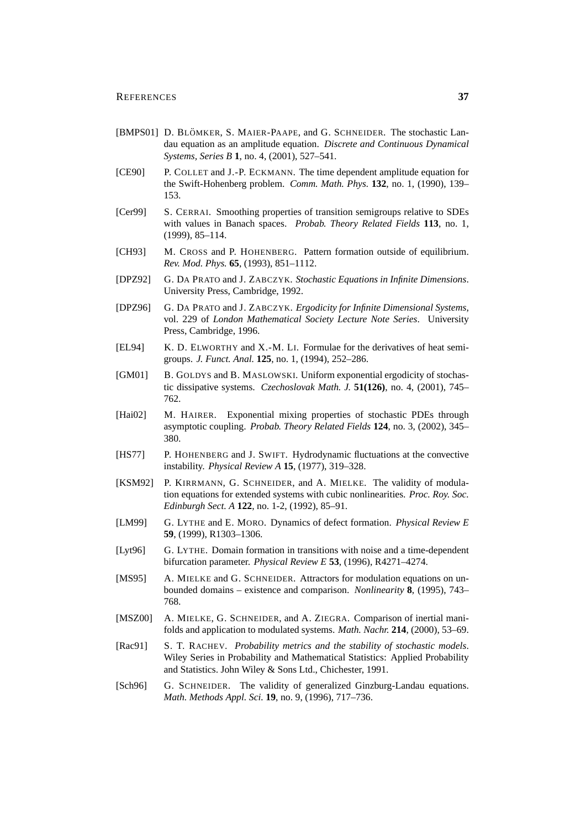- [BMPS01] D. BLÖMKER, S. MAIER-PAAPE, and G. SCHNEIDER. The stochastic Landau equation as an amplitude equation. *Discrete and Continuous Dynamical Systems, Series B* **1**, no. 4, (2001), 527–541.
- [CE90] P. COLLET and J.-P. ECKMANN. The time dependent amplitude equation for the Swift-Hohenberg problem. *Comm. Math. Phys.* **132**, no. 1, (1990), 139– 153.
- [Cer99] S. CERRAI. Smoothing properties of transition semigroups relative to SDEs with values in Banach spaces. *Probab. Theory Related Fields* **113**, no. 1, (1999), 85–114.
- [CH93] M. CROSS and P. HOHENBERG. Pattern formation outside of equilibrium. *Rev. Mod. Phys.* **65**, (1993), 851–1112.
- [DPZ92] G. DA PRATO and J. ZABCZYK. *Stochastic Equations in Infinite Dimensions*. University Press, Cambridge, 1992.
- [DPZ96] G. DA PRATO and J. ZABCZYK. *Ergodicity for Infinite Dimensional Systems*, vol. 229 of *London Mathematical Society Lecture Note Series*. University Press, Cambridge, 1996.
- [EL94] K. D. ELWORTHY and X.-M. LI. Formulae for the derivatives of heat semigroups. *J. Funct. Anal.* **125**, no. 1, (1994), 252–286.
- [GM01] B. GOLDYS and B. MASLOWSKI. Uniform exponential ergodicity of stochastic dissipative systems. *Czechoslovak Math. J.* **51(126)**, no. 4, (2001), 745– 762.
- [Hai02] M. HAIRER. Exponential mixing properties of stochastic PDEs through asymptotic coupling. *Probab. Theory Related Fields* **124**, no. 3, (2002), 345– 380.
- [HS77] P. HOHENBERG and J. SWIFT. Hydrodynamic fluctuations at the convective instability. *Physical Review A* **15**, (1977), 319–328.
- [KSM92] P. KIRRMANN, G. SCHNEIDER, and A. MIELKE. The validity of modulation equations for extended systems with cubic nonlinearities. *Proc. Roy. Soc. Edinburgh Sect. A* **122**, no. 1-2, (1992), 85–91.
- [LM99] G. LYTHE and E. MORO. Dynamics of defect formation. *Physical Review E* **59**, (1999), R1303–1306.
- [Lyt96] G. LYTHE. Domain formation in transitions with noise and a time-dependent bifurcation parameter. *Physical Review E* **53**, (1996), R4271–4274.
- [MS95] A. MIELKE and G. SCHNEIDER. Attractors for modulation equations on unbounded domains – existence and comparison. *Nonlinearity* **8**, (1995), 743– 768.
- [MSZ00] A. MIELKE, G. SCHNEIDER, and A. ZIEGRA. Comparison of inertial manifolds and application to modulated systems. *Math. Nachr.* **214**, (2000), 53–69.
- [Rac91] S. T. RACHEV. *Probability metrics and the stability of stochastic models*. Wiley Series in Probability and Mathematical Statistics: Applied Probability and Statistics. John Wiley & Sons Ltd., Chichester, 1991.
- [Sch96] G. SCHNEIDER. The validity of generalized Ginzburg-Landau equations. *Math. Methods Appl. Sci.* **19**, no. 9, (1996), 717–736.